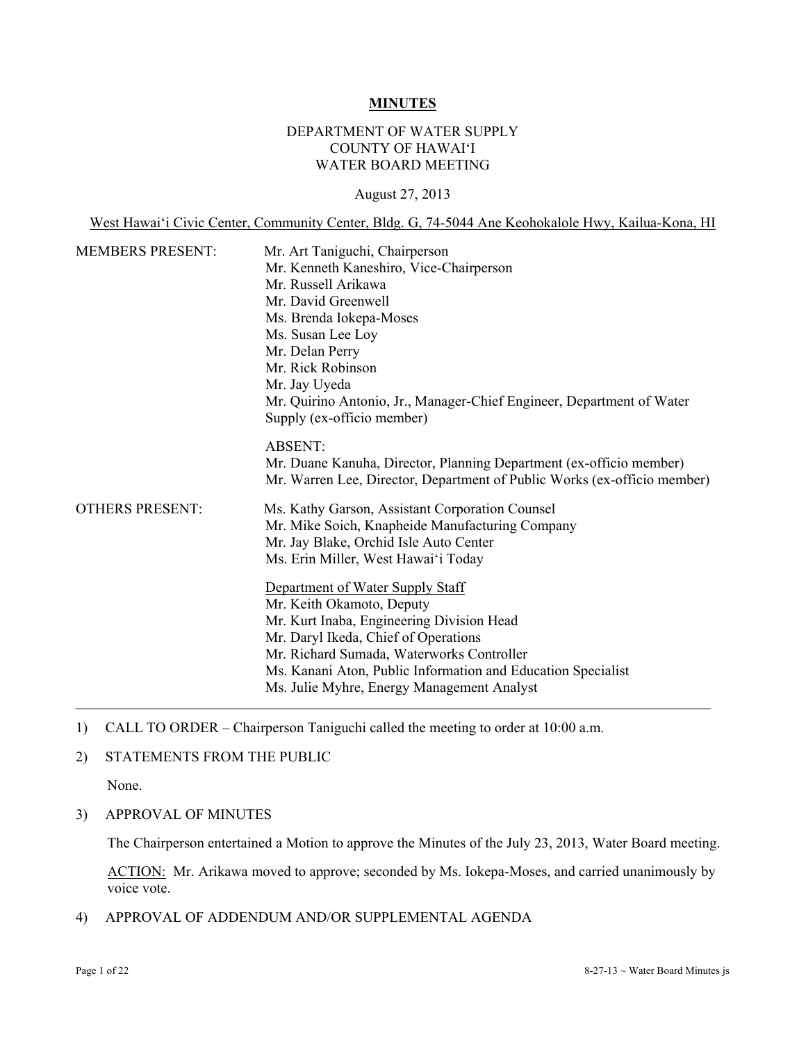#### **MINUTES**

### DEPARTMENT OF WATER SUPPLY COUNTY OF HAWAI'I WATER BOARD MEETING

#### August 27, 2013

West Hawai'i Civic Center, Community Center, Bldg. G, 74-5044 Ane Keohokalole Hwy, Kailua-Kona, HI

| <b>MEMBERS PRESENT:</b> | Mr. Art Taniguchi, Chairperson<br>Mr. Kenneth Kaneshiro, Vice-Chairperson<br>Mr. Russell Arikawa<br>Mr. David Greenwell<br>Ms. Brenda Iokepa-Moses<br>Ms. Susan Lee Loy<br>Mr. Delan Perry<br>Mr. Rick Robinson<br>Mr. Jay Uyeda<br>Mr. Quirino Antonio, Jr., Manager-Chief Engineer, Department of Water<br>Supply (ex-officio member) |  |
|-------------------------|-----------------------------------------------------------------------------------------------------------------------------------------------------------------------------------------------------------------------------------------------------------------------------------------------------------------------------------------|--|
|                         | <b>ABSENT:</b><br>Mr. Duane Kanuha, Director, Planning Department (ex-officio member)<br>Mr. Warren Lee, Director, Department of Public Works (ex-officio member)                                                                                                                                                                       |  |
| <b>OTHERS PRESENT:</b>  | Ms. Kathy Garson, Assistant Corporation Counsel<br>Mr. Mike Soich, Knapheide Manufacturing Company<br>Mr. Jay Blake, Orchid Isle Auto Center<br>Ms. Erin Miller, West Hawai'i Today                                                                                                                                                     |  |
|                         | Department of Water Supply Staff<br>Mr. Keith Okamoto, Deputy<br>Mr. Kurt Inaba, Engineering Division Head<br>Mr. Daryl Ikeda, Chief of Operations<br>Mr. Richard Sumada, Waterworks Controller<br>Ms. Kanani Aton, Public Information and Education Specialist<br>Ms. Julie Myhre, Energy Management Analyst                           |  |

- 1) CALL TO ORDER Chairperson Taniguchi called the meeting to order at 10:00 a.m.
- 2) STATEMENTS FROM THE PUBLIC

None.

3) APPROVAL OF MINUTES

The Chairperson entertained a Motion to approve the Minutes of the July 23, 2013, Water Board meeting.

ACTION: Mr. Arikawa moved to approve; seconded by Ms. Iokepa-Moses, and carried unanimously by voice vote.

4) APPROVAL OF ADDENDUM AND/OR SUPPLEMENTAL AGENDA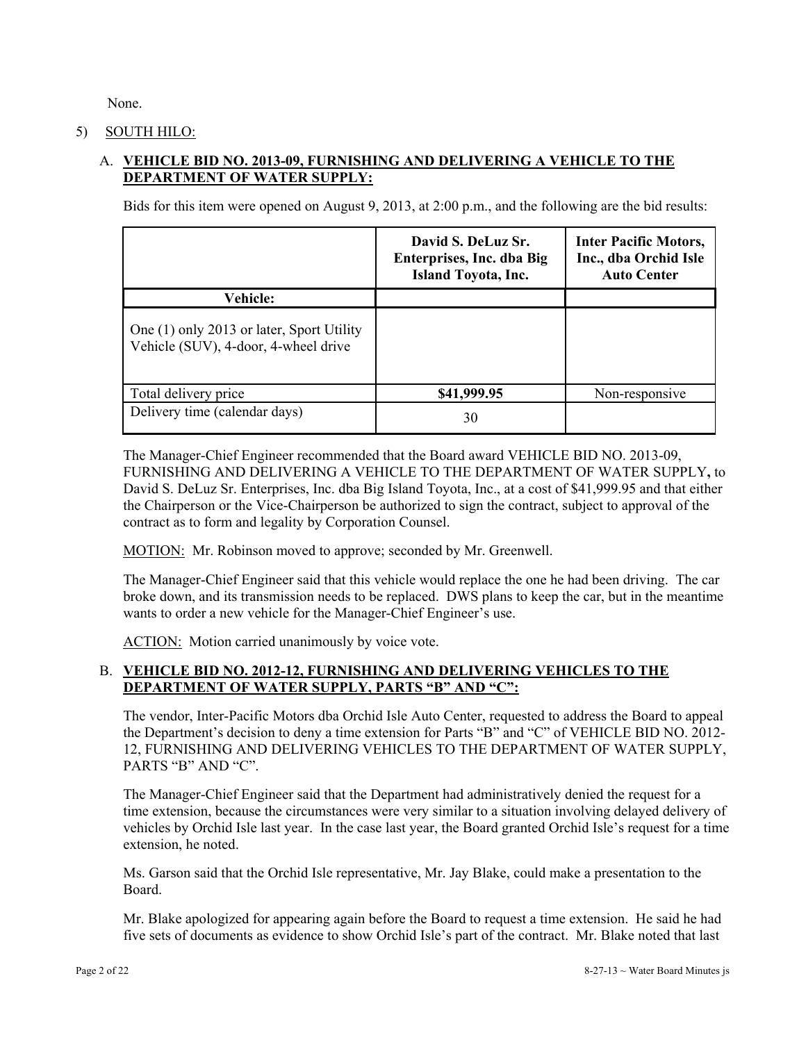None.

### 5) SOUTH HILO:

# A. **VEHICLE BID NO. 2013-09, FURNISHING AND DELIVERING A VEHICLE TO THE DEPARTMENT OF WATER SUPPLY:**

Bids for this item were opened on August 9, 2013, at 2:00 p.m., and the following are the bid results:

|                                                                                   | David S. DeLuz Sr.<br>Enterprises, Inc. dba Big<br><b>Island Toyota, Inc.</b> | <b>Inter Pacific Motors,</b><br>Inc., dba Orchid Isle<br><b>Auto Center</b> |
|-----------------------------------------------------------------------------------|-------------------------------------------------------------------------------|-----------------------------------------------------------------------------|
| <b>Vehicle:</b>                                                                   |                                                                               |                                                                             |
| One (1) only 2013 or later, Sport Utility<br>Vehicle (SUV), 4-door, 4-wheel drive |                                                                               |                                                                             |
| Total delivery price                                                              | \$41,999.95                                                                   | Non-responsive                                                              |
| Delivery time (calendar days)                                                     | 30                                                                            |                                                                             |

The Manager-Chief Engineer recommended that the Board award VEHICLE BID NO. 2013-09, FURNISHING AND DELIVERING A VEHICLE TO THE DEPARTMENT OF WATER SUPPLY**,** to David S. DeLuz Sr. Enterprises, Inc. dba Big Island Toyota, Inc., at a cost of \$41,999.95 and that either the Chairperson or the Vice-Chairperson be authorized to sign the contract, subject to approval of the contract as to form and legality by Corporation Counsel.

MOTION: Mr. Robinson moved to approve; seconded by Mr. Greenwell.

The Manager-Chief Engineer said that this vehicle would replace the one he had been driving. The car broke down, and its transmission needs to be replaced. DWS plans to keep the car, but in the meantime wants to order a new vehicle for the Manager-Chief Engineer's use.

ACTION: Motion carried unanimously by voice vote.

### B. **VEHICLE BID NO. 2012-12, FURNISHING AND DELIVERING VEHICLES TO THE DEPARTMENT OF WATER SUPPLY, PARTS "B" AND "C":**

The vendor, Inter-Pacific Motors dba Orchid Isle Auto Center, requested to address the Board to appeal the Department's decision to deny a time extension for Parts "B" and "C" of VEHICLE BID NO. 2012- 12, FURNISHING AND DELIVERING VEHICLES TO THE DEPARTMENT OF WATER SUPPLY, PARTS "B" AND "C".

The Manager-Chief Engineer said that the Department had administratively denied the request for a time extension, because the circumstances were very similar to a situation involving delayed delivery of vehicles by Orchid Isle last year. In the case last year, the Board granted Orchid Isle's request for a time extension, he noted.

Ms. Garson said that the Orchid Isle representative, Mr. Jay Blake, could make a presentation to the Board.

Mr. Blake apologized for appearing again before the Board to request a time extension. He said he had five sets of documents as evidence to show Orchid Isle's part of the contract. Mr. Blake noted that last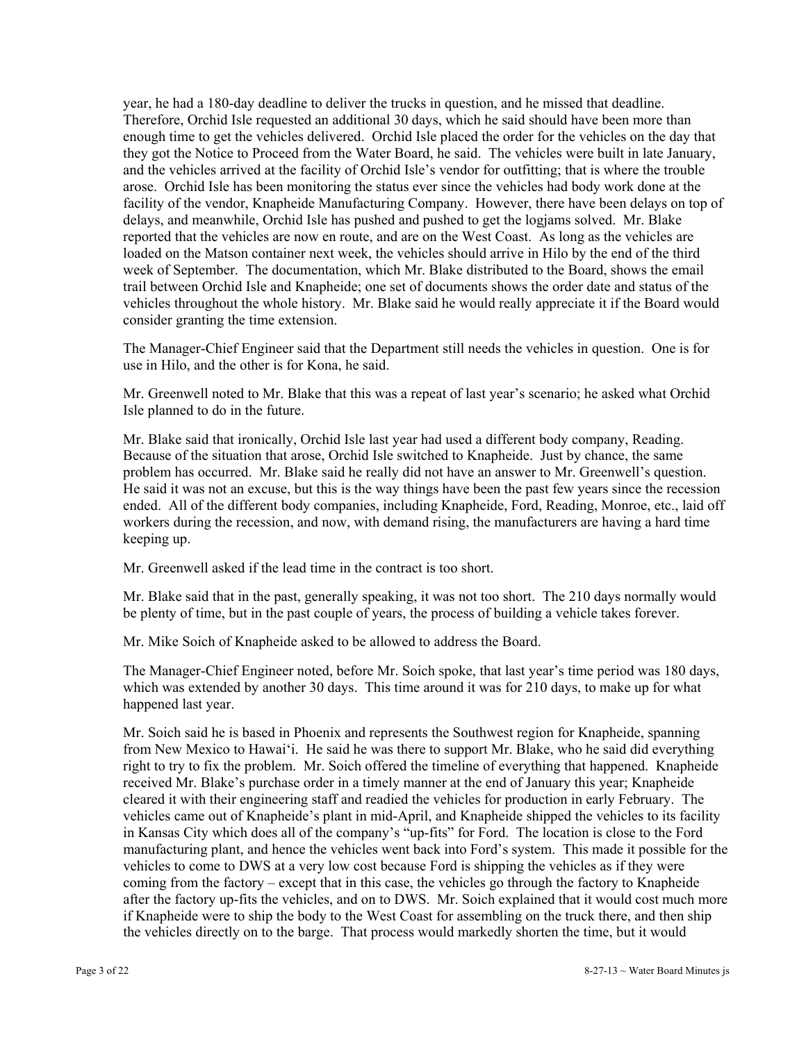vehicles throughout the whole history. Mr. Blake said he would really appreciate it if the Board would year, he had a 180-day deadline to deliver the trucks in question, and he missed that deadline. Therefore, Orchid Isle requested an additional 30 days, which he said should have been more than enough time to get the vehicles delivered. Orchid Isle placed the order for the vehicles on the day that they got the Notice to Proceed from the Water Board, he said. The vehicles were built in late January, and the vehicles arrived at the facility of Orchid Isle's vendor for outfitting; that is where the trouble arose. Orchid Isle has been monitoring the status ever since the vehicles had body work done at the facility of the vendor, Knapheide Manufacturing Company. However, there have been delays on top of delays, and meanwhile, Orchid Isle has pushed and pushed to get the logjams solved. Mr. Blake reported that the vehicles are now en route, and are on the West Coast. As long as the vehicles are loaded on the Matson container next week, the vehicles should arrive in Hilo by the end of the third week of September. The documentation, which Mr. Blake distributed to the Board, shows the email trail between Orchid Isle and Knapheide; one set of documents shows the order date and status of the consider granting the time extension.

The Manager-Chief Engineer said that the Department still needs the vehicles in question. One is for use in Hilo, and the other is for Kona, he said.

Mr. Greenwell noted to Mr. Blake that this was a repeat of last year's scenario; he asked what Orchid Isle planned to do in the future.

Mr. Blake said that ironically, Orchid Isle last year had used a different body company, Reading. Because of the situation that arose, Orchid Isle switched to Knapheide. Just by chance, the same problem has occurred. Mr. Blake said he really did not have an answer to Mr. Greenwell's question. He said it was not an excuse, but this is the way things have been the past few years since the recession ended. All of the different body companies, including Knapheide, Ford, Reading, Monroe, etc., laid off workers during the recession, and now, with demand rising, the manufacturers are having a hard time keeping up.

Mr. Greenwell asked if the lead time in the contract is too short.

Mr. Blake said that in the past, generally speaking, it was not too short. The 210 days normally would be plenty of time, but in the past couple of years, the process of building a vehicle takes forever.

Mr. Mike Soich of Knapheide asked to be allowed to address the Board.

The Manager-Chief Engineer noted, before Mr. Soich spoke, that last year's time period was 180 days, which was extended by another 30 days. This time around it was for 210 days, to make up for what happened last year.

 coming from the factory – except that in this case, the vehicles go through the factory to Knapheide Mr. Soich said he is based in Phoenix and represents the Southwest region for Knapheide, spanning from New Mexico to Hawai'i. He said he was there to support Mr. Blake, who he said did everything right to try to fix the problem. Mr. Soich offered the timeline of everything that happened. Knapheide received Mr. Blake's purchase order in a timely manner at the end of January this year; Knapheide cleared it with their engineering staff and readied the vehicles for production in early February. The vehicles came out of Knapheide's plant in mid-April, and Knapheide shipped the vehicles to its facility in Kansas City which does all of the company's "up-fits" for Ford. The location is close to the Ford manufacturing plant, and hence the vehicles went back into Ford's system. This made it possible for the vehicles to come to DWS at a very low cost because Ford is shipping the vehicles as if they were after the factory up-fits the vehicles, and on to DWS. Mr. Soich explained that it would cost much more if Knapheide were to ship the body to the West Coast for assembling on the truck there, and then ship the vehicles directly on to the barge. That process would markedly shorten the time, but it would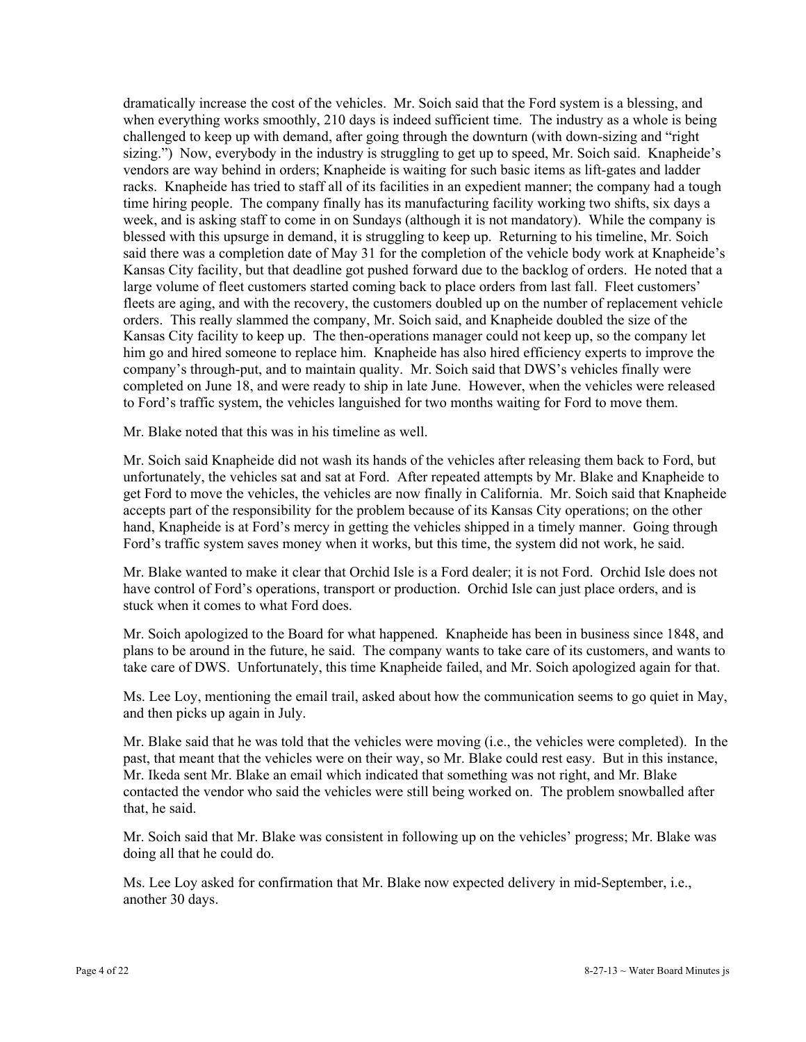dramatically increase the cost of the vehicles. Mr. Soich said that the Ford system is a blessing, and when everything works smoothly, 210 days is indeed sufficient time. The industry as a whole is being challenged to keep up with demand, after going through the downturn (with down-sizing and "right sizing.") Now, everybody in the industry is struggling to get up to speed, Mr. Soich said. Knapheide's vendors are way behind in orders; Knapheide is waiting for such basic items as lift-gates and ladder racks. Knapheide has tried to staff all of its facilities in an expedient manner; the company had a tough time hiring people. The company finally has its manufacturing facility working two shifts, six days a week, and is asking staff to come in on Sundays (although it is not mandatory). While the company is blessed with this upsurge in demand, it is struggling to keep up. Returning to his timeline, Mr. Soich said there was a completion date of May 31 for the completion of the vehicle body work at Knapheide's Kansas City facility, but that deadline got pushed forward due to the backlog of orders. He noted that a large volume of fleet customers started coming back to place orders from last fall. Fleet customers' fleets are aging, and with the recovery, the customers doubled up on the number of replacement vehicle orders. This really slammed the company, Mr. Soich said, and Knapheide doubled the size of the Kansas City facility to keep up. The then-operations manager could not keep up, so the company let him go and hired someone to replace him. Knapheide has also hired efficiency experts to improve the company's through-put, and to maintain quality. Mr. Soich said that DWS's vehicles finally were completed on June 18, and were ready to ship in late June. However, when the vehicles were released to Ford's traffic system, the vehicles languished for two months waiting for Ford to move them.

Mr. Blake noted that this was in his timeline as well.

Mr. Soich said Knapheide did not wash its hands of the vehicles after releasing them back to Ford, but unfortunately, the vehicles sat and sat at Ford. After repeated attempts by Mr. Blake and Knapheide to get Ford to move the vehicles, the vehicles are now finally in California. Mr. Soich said that Knapheide accepts part of the responsibility for the problem because of its Kansas City operations; on the other hand, Knapheide is at Ford's mercy in getting the vehicles shipped in a timely manner. Going through Ford's traffic system saves money when it works, but this time, the system did not work, he said.

Mr. Blake wanted to make it clear that Orchid Isle is a Ford dealer; it is not Ford. Orchid Isle does not have control of Ford's operations, transport or production. Orchid Isle can just place orders, and is stuck when it comes to what Ford does.

Mr. Soich apologized to the Board for what happened. Knapheide has been in business since 1848, and plans to be around in the future, he said. The company wants to take care of its customers, and wants to take care of DWS. Unfortunately, this time Knapheide failed, and Mr. Soich apologized again for that.

Ms. Lee Loy, mentioning the email trail, asked about how the communication seems to go quiet in May, and then picks up again in July.

Mr. Blake said that he was told that the vehicles were moving (i.e., the vehicles were completed). In the past, that meant that the vehicles were on their way, so Mr. Blake could rest easy. But in this instance, Mr. Ikeda sent Mr. Blake an email which indicated that something was not right, and Mr. Blake contacted the vendor who said the vehicles were still being worked on. The problem snowballed after that, he said.

Mr. Soich said that Mr. Blake was consistent in following up on the vehicles' progress; Mr. Blake was doing all that he could do.

Ms. Lee Loy asked for confirmation that Mr. Blake now expected delivery in mid-September, i.e., another 30 days.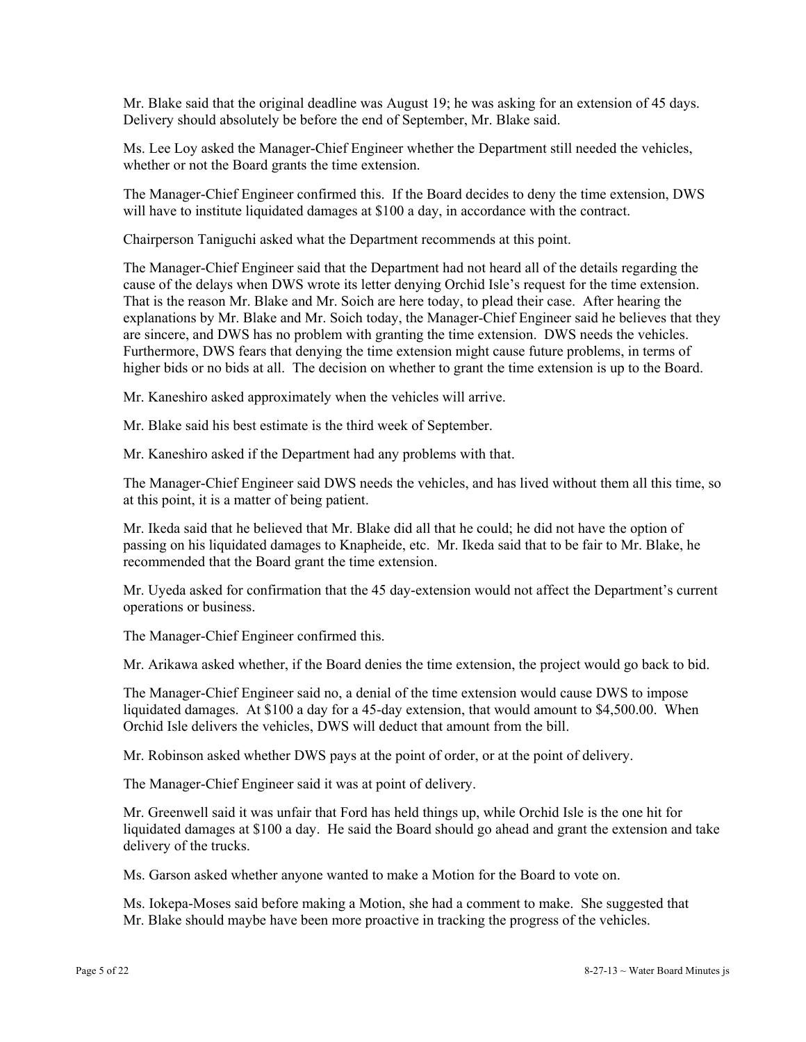Mr. Blake said that the original deadline was August 19; he was asking for an extension of 45 days. Delivery should absolutely be before the end of September, Mr. Blake said.

Ms. Lee Loy asked the Manager-Chief Engineer whether the Department still needed the vehicles, whether or not the Board grants the time extension.

The Manager-Chief Engineer confirmed this. If the Board decides to deny the time extension, DWS will have to institute liquidated damages at \$100 a day, in accordance with the contract.

Chairperson Taniguchi asked what the Department recommends at this point.

The Manager-Chief Engineer said that the Department had not heard all of the details regarding the cause of the delays when DWS wrote its letter denying Orchid Isle's request for the time extension. That is the reason Mr. Blake and Mr. Soich are here today, to plead their case. After hearing the explanations by Mr. Blake and Mr. Soich today, the Manager-Chief Engineer said he believes that they are sincere, and DWS has no problem with granting the time extension. DWS needs the vehicles. Furthermore, DWS fears that denying the time extension might cause future problems, in terms of higher bids or no bids at all. The decision on whether to grant the time extension is up to the Board.

Mr. Kaneshiro asked approximately when the vehicles will arrive.

Mr. Blake said his best estimate is the third week of September.

Mr. Kaneshiro asked if the Department had any problems with that.

The Manager-Chief Engineer said DWS needs the vehicles, and has lived without them all this time, so at this point, it is a matter of being patient.

Mr. Ikeda said that he believed that Mr. Blake did all that he could; he did not have the option of passing on his liquidated damages to Knapheide, etc. Mr. Ikeda said that to be fair to Mr. Blake, he recommended that the Board grant the time extension.

Mr. Uyeda asked for confirmation that the 45 day-extension would not affect the Department's current operations or business.

The Manager-Chief Engineer confirmed this.

Mr. Arikawa asked whether, if the Board denies the time extension, the project would go back to bid.

The Manager-Chief Engineer said no, a denial of the time extension would cause DWS to impose liquidated damages. At \$100 a day for a 45-day extension, that would amount to \$4,500.00. When Orchid Isle delivers the vehicles, DWS will deduct that amount from the bill.

Mr. Robinson asked whether DWS pays at the point of order, or at the point of delivery.

The Manager-Chief Engineer said it was at point of delivery.

Mr. Greenwell said it was unfair that Ford has held things up, while Orchid Isle is the one hit for liquidated damages at \$100 a day. He said the Board should go ahead and grant the extension and take delivery of the trucks.

Ms. Garson asked whether anyone wanted to make a Motion for the Board to vote on.

Ms. Iokepa-Moses said before making a Motion, she had a comment to make. She suggested that Mr. Blake should maybe have been more proactive in tracking the progress of the vehicles.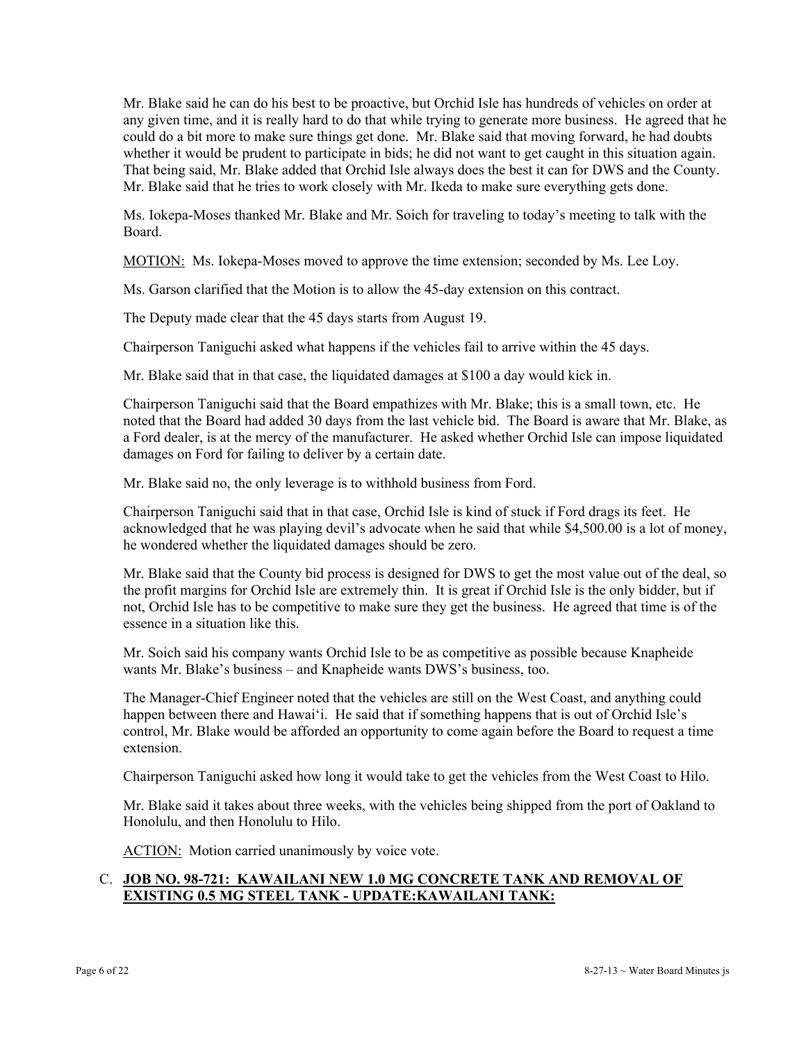That being said, Mr. Blake added that Orchid Isle always does the best it can for DWS and the County. Mr. Blake said that he tries to work closely with Mr. Ikeda to make sure everything gets done. Mr. Blake said he can do his best to be proactive, but Orchid Isle has hundreds of vehicles on order at any given time, and it is really hard to do that while trying to generate more business. He agreed that he could do a bit more to make sure things get done. Mr. Blake said that moving forward, he had doubts whether it would be prudent to participate in bids; he did not want to get caught in this situation again.

Ms. Iokepa-Moses thanked Mr. Blake and Mr. Soich for traveling to today's meeting to talk with the Board.

MOTION: Ms. Iokepa-Moses moved to approve the time extension; seconded by Ms. Lee Loy.

Ms. Garson clarified that the Motion is to allow the 45-day extension on this contract.

The Deputy made clear that the 45 days starts from August 19.

Chairperson Taniguchi asked what happens if the vehicles fail to arrive within the 45 days.

Mr. Blake said that in that case, the liquidated damages at \$100 a day would kick in.

Chairperson Taniguchi said that the Board empathizes with Mr. Blake; this is a small town, etc. He noted that the Board had added 30 days from the last vehicle bid. The Board is aware that Mr. Blake, as a Ford dealer, is at the mercy of the manufacturer. He asked whether Orchid Isle can impose liquidated damages on Ford for failing to deliver by a certain date.

Mr. Blake said no, the only leverage is to withhold business from Ford.

Chairperson Taniguchi said that in that case, Orchid Isle is kind of stuck if Ford drags its feet. He acknowledged that he was playing devil's advocate when he said that while \$4,500.00 is a lot of money, he wondered whether the liquidated damages should be zero.

Mr. Blake said that the County bid process is designed for DWS to get the most value out of the deal, so the profit margins for Orchid Isle are extremely thin. It is great if Orchid Isle is the only bidder, but if not, Orchid Isle has to be competitive to make sure they get the business. He agreed that time is of the essence in a situation like this.

Mr. Soich said his company wants Orchid Isle to be as competitive as possible because Knapheide wants Mr. Blake's business – and Knapheide wants DWS's business, too.

The Manager-Chief Engineer noted that the vehicles are still on the West Coast, and anything could happen between there and Hawai'i. He said that if something happens that is out of Orchid Isle's control, Mr. Blake would be afforded an opportunity to come again before the Board to request a time extension.

Chairperson Taniguchi asked how long it would take to get the vehicles from the West Coast to Hilo.

Mr. Blake said it takes about three weeks, with the vehicles being shipped from the port of Oakland to Honolulu, and then Honolulu to Hilo.

ACTION: Motion carried unanimously by voice vote.

### C. **JOB NO. 98-721: KAWAILANI NEW 1.0 MG CONCRETE TANK AND REMOVAL OF EXISTING 0.5 MG STEEL TANK - UPDATE:KAWAILANI TANK:**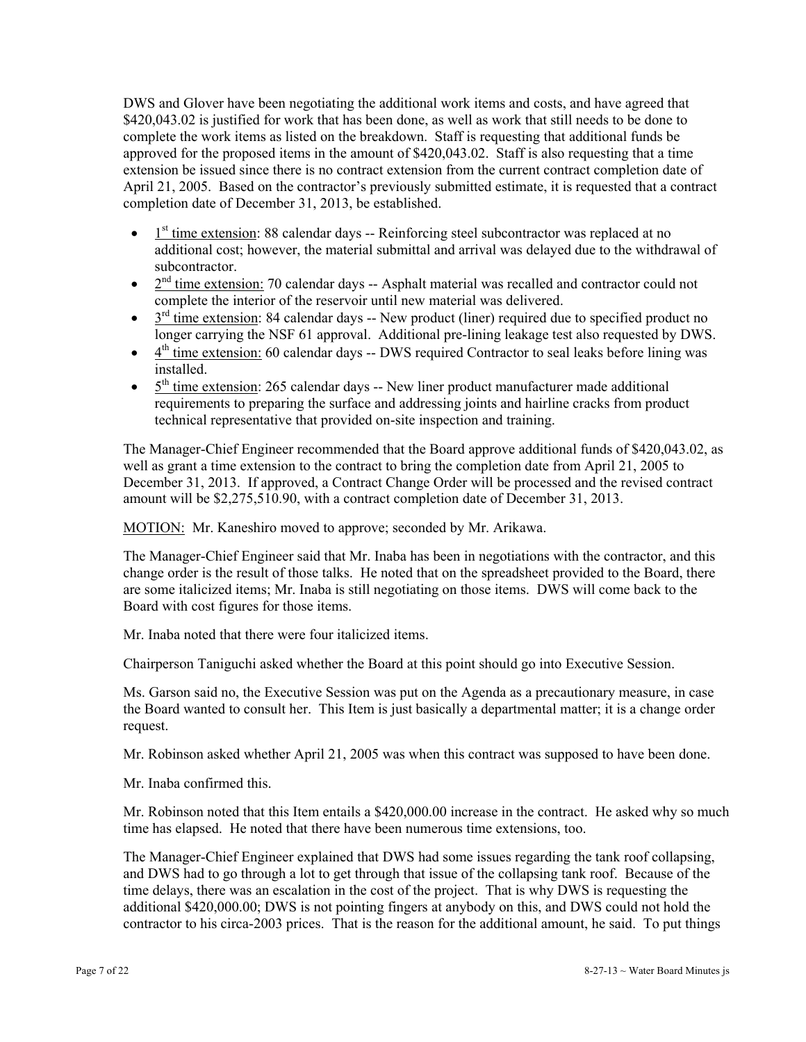complete the work items as listed on the breakdown. Staff is requesting that additional funds be DWS and Glover have been negotiating the additional work items and costs, and have agreed that \$420,043.02 is justified for work that has been done, as well as work that still needs to be done to approved for the proposed items in the amount of \$420,043.02. Staff is also requesting that a time extension be issued since there is no contract extension from the current contract completion date of April 21, 2005. Based on the contractor's previously submitted estimate, it is requested that a contract completion date of December 31, 2013, be established.

- $\bullet$  1<sup>st</sup> time extension: 88 calendar days -- Reinforcing steel subcontractor was replaced at no additional cost; however, the material submittal and arrival was delayed due to the withdrawal of subcontractor.
- $\bullet$   $2<sup>nd</sup>$  time extension: 70 calendar days -- Asphalt material was recalled and contractor could not complete the interior of the reservoir until new material was delivered.
- $\bullet$   $3^{rd}$  time extension: 84 calendar days -- New product (liner) required due to specified product no longer carrying the NSF 61 approval. Additional pre-lining leakage test also requested by DWS.
- $\bullet$  4<sup>th</sup> time extension: 60 calendar days -- DWS required Contractor to seal leaks before lining was installed.
- $\bullet$   $5<sup>th</sup>$  time extension: 265 calendar days -- New liner product manufacturer made additional requirements to preparing the surface and addressing joints and hairline cracks from product technical representative that provided on-site inspection and training.

The Manager-Chief Engineer recommended that the Board approve additional funds of \$420,043.02, as well as grant a time extension to the contract to bring the completion date from April 21, 2005 to December 31, 2013. If approved, a Contract Change Order will be processed and the revised contract amount will be \$2,275,510.90, with a contract completion date of December 31, 2013.

MOTION: Mr. Kaneshiro moved to approve; seconded by Mr. Arikawa.

The Manager-Chief Engineer said that Mr. Inaba has been in negotiations with the contractor, and this change order is the result of those talks. He noted that on the spreadsheet provided to the Board, there are some italicized items; Mr. Inaba is still negotiating on those items. DWS will come back to the Board with cost figures for those items.

Mr. Inaba noted that there were four italicized items.

Chairperson Taniguchi asked whether the Board at this point should go into Executive Session.

Ms. Garson said no, the Executive Session was put on the Agenda as a precautionary measure, in case the Board wanted to consult her. This Item is just basically a departmental matter; it is a change order request.

Mr. Robinson asked whether April 21, 2005 was when this contract was supposed to have been done.

Mr. Inaba confirmed this.

Mr. Robinson noted that this Item entails a \$420,000.00 increase in the contract. He asked why so much time has elapsed. He noted that there have been numerous time extensions, too.

The Manager-Chief Engineer explained that DWS had some issues regarding the tank roof collapsing, and DWS had to go through a lot to get through that issue of the collapsing tank roof. Because of the time delays, there was an escalation in the cost of the project. That is why DWS is requesting the additional \$420,000.00; DWS is not pointing fingers at anybody on this, and DWS could not hold the contractor to his circa-2003 prices. That is the reason for the additional amount, he said. To put things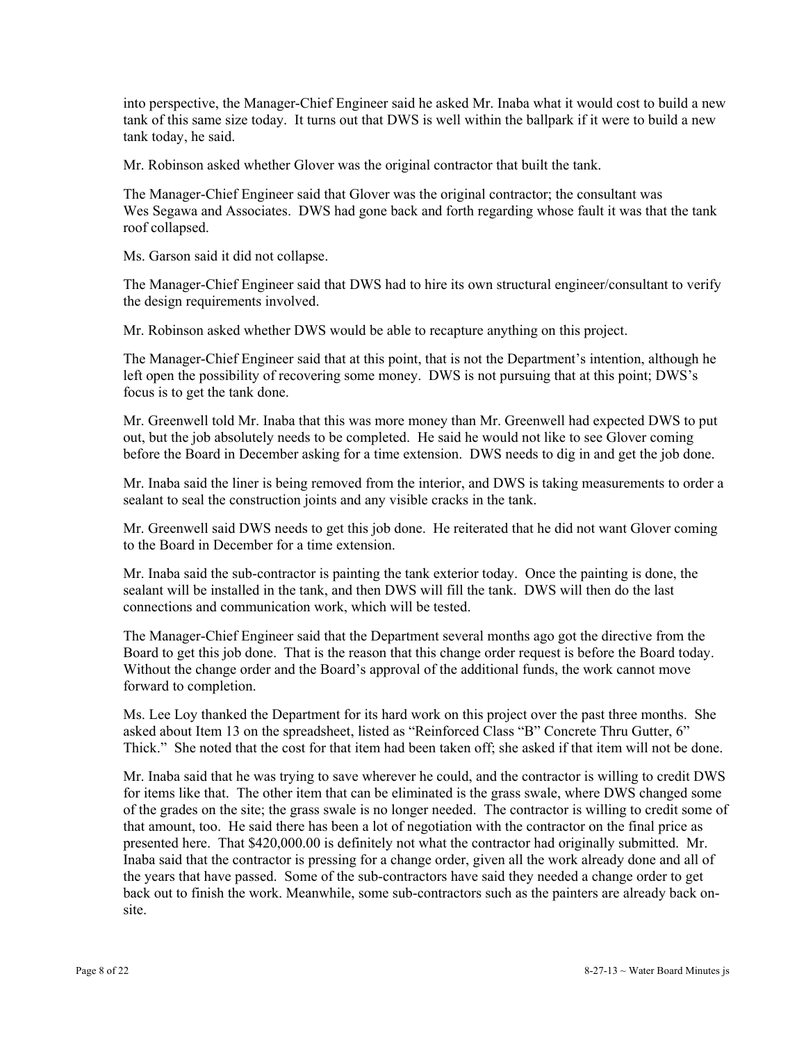into perspective, the Manager-Chief Engineer said he asked Mr. Inaba what it would cost to build a new tank of this same size today. It turns out that DWS is well within the ballpark if it were to build a new tank today, he said.

Mr. Robinson asked whether Glover was the original contractor that built the tank.

The Manager-Chief Engineer said that Glover was the original contractor; the consultant was Wes Segawa and Associates. DWS had gone back and forth regarding whose fault it was that the tank roof collapsed.

Ms. Garson said it did not collapse.

The Manager-Chief Engineer said that DWS had to hire its own structural engineer/consultant to verify the design requirements involved.

Mr. Robinson asked whether DWS would be able to recapture anything on this project.

 left open the possibility of recovering some money. DWS is not pursuing that at this point; DWS's The Manager-Chief Engineer said that at this point, that is not the Department's intention, although he focus is to get the tank done.

Mr. Greenwell told Mr. Inaba that this was more money than Mr. Greenwell had expected DWS to put out, but the job absolutely needs to be completed. He said he would not like to see Glover coming before the Board in December asking for a time extension. DWS needs to dig in and get the job done.

Mr. Inaba said the liner is being removed from the interior, and DWS is taking measurements to order a sealant to seal the construction joints and any visible cracks in the tank.

Mr. Greenwell said DWS needs to get this job done. He reiterated that he did not want Glover coming to the Board in December for a time extension.

Mr. Inaba said the sub-contractor is painting the tank exterior today. Once the painting is done, the sealant will be installed in the tank, and then DWS will fill the tank. DWS will then do the last connections and communication work, which will be tested.

The Manager-Chief Engineer said that the Department several months ago got the directive from the Board to get this job done. That is the reason that this change order request is before the Board today. Without the change order and the Board's approval of the additional funds, the work cannot move forward to completion.

Ms. Lee Loy thanked the Department for its hard work on this project over the past three months. She asked about Item 13 on the spreadsheet, listed as "Reinforced Class "B" Concrete Thru Gutter, 6" Thick." She noted that the cost for that item had been taken off; she asked if that item will not be done.

Mr. Inaba said that he was trying to save wherever he could, and the contractor is willing to credit DWS for items like that. The other item that can be eliminated is the grass swale, where DWS changed some of the grades on the site; the grass swale is no longer needed. The contractor is willing to credit some of that amount, too. He said there has been a lot of negotiation with the contractor on the final price as presented here. That \$420,000.00 is definitely not what the contractor had originally submitted. Mr. Inaba said that the contractor is pressing for a change order, given all the work already done and all of the years that have passed. Some of the sub-contractors have said they needed a change order to get back out to finish the work. Meanwhile, some sub-contractors such as the painters are already back onsite.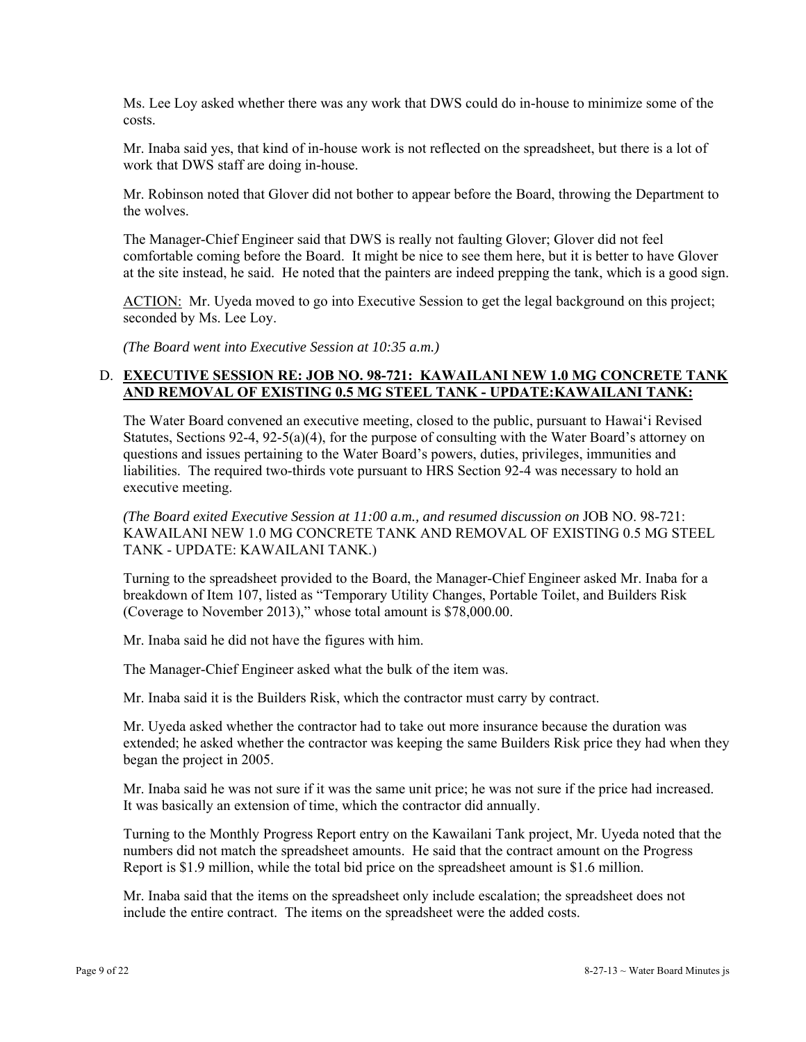Ms. Lee Loy asked whether there was any work that DWS could do in-house to minimize some of the costs.

Mr. Inaba said yes, that kind of in-house work is not reflected on the spreadsheet, but there is a lot of work that DWS staff are doing in-house.

Mr. Robinson noted that Glover did not bother to appear before the Board, throwing the Department to the wolves.

The Manager-Chief Engineer said that DWS is really not faulting Glover; Glover did not feel comfortable coming before the Board. It might be nice to see them here, but it is better to have Glover at the site instead, he said. He noted that the painters are indeed prepping the tank, which is a good sign.

ACTION: Mr. Uyeda moved to go into Executive Session to get the legal background on this project; seconded by Ms. Lee Loy.

*(The Board went into Executive Session at 10:35 a.m.)* 

### D. **EXECUTIVE SESSION RE: JOB NO. 98-721: KAWAILANI NEW 1.0 MG CONCRETE TANK AND REMOVAL OF EXISTING 0.5 MG STEEL TANK - UPDATE:KAWAILANI TANK:**

The Water Board convened an executive meeting, closed to the public, pursuant to Hawai'i Revised Statutes, Sections 92-4, 92-5(a)(4), for the purpose of consulting with the Water Board's attorney on questions and issues pertaining to the Water Board's powers, duties, privileges, immunities and liabilities. The required two-thirds vote pursuant to HRS Section 92-4 was necessary to hold an executive meeting.

*(The Board exited Executive Session at 11:00 a.m., and resumed discussion on* JOB NO. 98-721: KAWAILANI NEW 1.0 MG CONCRETE TANK AND REMOVAL OF EXISTING 0.5 MG STEEL TANK - UPDATE: KAWAILANI TANK.)

Turning to the spreadsheet provided to the Board, the Manager-Chief Engineer asked Mr. Inaba for a breakdown of Item 107, listed as "Temporary Utility Changes, Portable Toilet, and Builders Risk (Coverage to November 2013)," whose total amount is \$78,000.00.

Mr. Inaba said he did not have the figures with him.

The Manager-Chief Engineer asked what the bulk of the item was.

Mr. Inaba said it is the Builders Risk, which the contractor must carry by contract.

Mr. Uyeda asked whether the contractor had to take out more insurance because the duration was extended; he asked whether the contractor was keeping the same Builders Risk price they had when they began the project in 2005.

Mr. Inaba said he was not sure if it was the same unit price; he was not sure if the price had increased. It was basically an extension of time, which the contractor did annually.

Turning to the Monthly Progress Report entry on the Kawailani Tank project, Mr. Uyeda noted that the numbers did not match the spreadsheet amounts. He said that the contract amount on the Progress Report is \$1.9 million, while the total bid price on the spreadsheet amount is \$1.6 million.

Mr. Inaba said that the items on the spreadsheet only include escalation; the spreadsheet does not include the entire contract. The items on the spreadsheet were the added costs.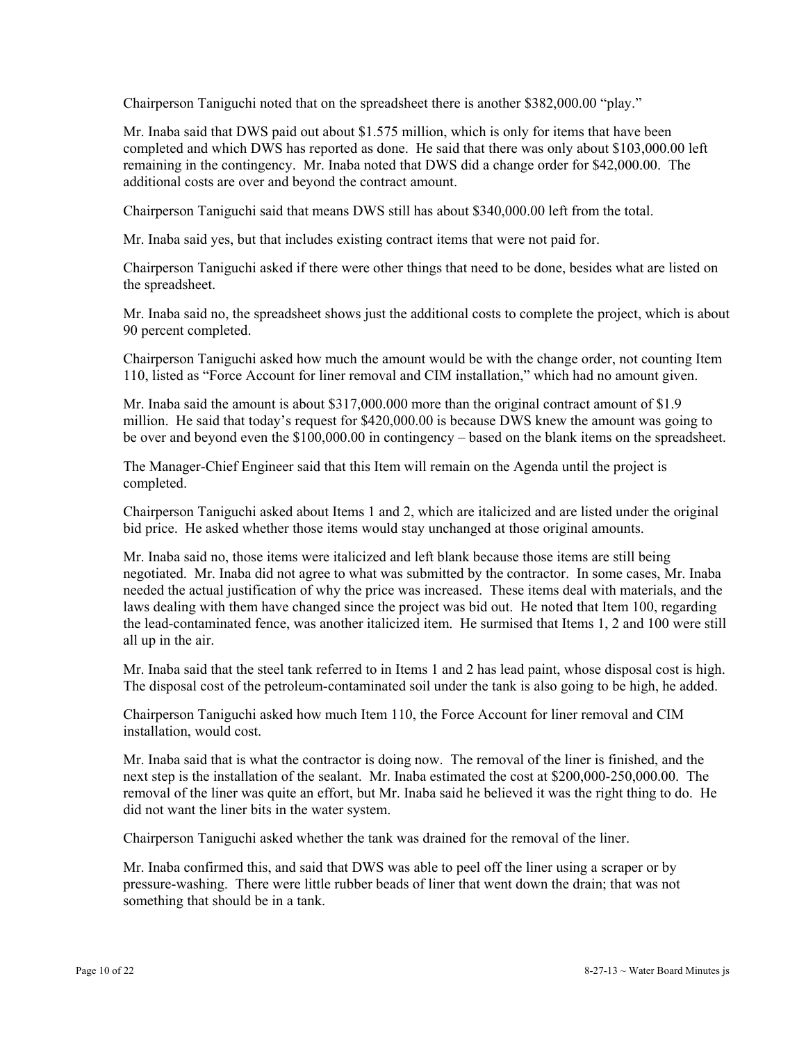Chairperson Taniguchi noted that on the spreadsheet there is another \$382,000.00 "play."

Mr. Inaba said that DWS paid out about \$1.575 million, which is only for items that have been completed and which DWS has reported as done. He said that there was only about \$103,000.00 left remaining in the contingency. Mr. Inaba noted that DWS did a change order for \$42,000.00. The additional costs are over and beyond the contract amount.

Chairperson Taniguchi said that means DWS still has about \$340,000.00 left from the total.

Mr. Inaba said yes, but that includes existing contract items that were not paid for.

Chairperson Taniguchi asked if there were other things that need to be done, besides what are listed on the spreadsheet.

Mr. Inaba said no, the spreadsheet shows just the additional costs to complete the project, which is about 90 percent completed.

Chairperson Taniguchi asked how much the amount would be with the change order, not counting Item 110, listed as "Force Account for liner removal and CIM installation," which had no amount given.

Mr. Inaba said the amount is about \$317,000.000 more than the original contract amount of \$1.9 million. He said that today's request for \$420,000.00 is because DWS knew the amount was going to be over and beyond even the \$100,000.00 in contingency – based on the blank items on the spreadsheet.

The Manager-Chief Engineer said that this Item will remain on the Agenda until the project is completed.

Chairperson Taniguchi asked about Items 1 and 2, which are italicized and are listed under the original bid price. He asked whether those items would stay unchanged at those original amounts.

Mr. Inaba said no, those items were italicized and left blank because those items are still being negotiated. Mr. Inaba did not agree to what was submitted by the contractor. In some cases, Mr. Inaba needed the actual justification of why the price was increased. These items deal with materials, and the laws dealing with them have changed since the project was bid out. He noted that Item 100, regarding the lead-contaminated fence, was another italicized item. He surmised that Items 1, 2 and 100 were still all up in the air.

Mr. Inaba said that the steel tank referred to in Items 1 and 2 has lead paint, whose disposal cost is high. The disposal cost of the petroleum-contaminated soil under the tank is also going to be high, he added.

Chairperson Taniguchi asked how much Item 110, the Force Account for liner removal and CIM installation, would cost.

Mr. Inaba said that is what the contractor is doing now. The removal of the liner is finished, and the next step is the installation of the sealant. Mr. Inaba estimated the cost at \$200,000-250,000.00. The removal of the liner was quite an effort, but Mr. Inaba said he believed it was the right thing to do. He did not want the liner bits in the water system.

Chairperson Taniguchi asked whether the tank was drained for the removal of the liner.

Mr. Inaba confirmed this, and said that DWS was able to peel off the liner using a scraper or by pressure-washing. There were little rubber beads of liner that went down the drain; that was not something that should be in a tank.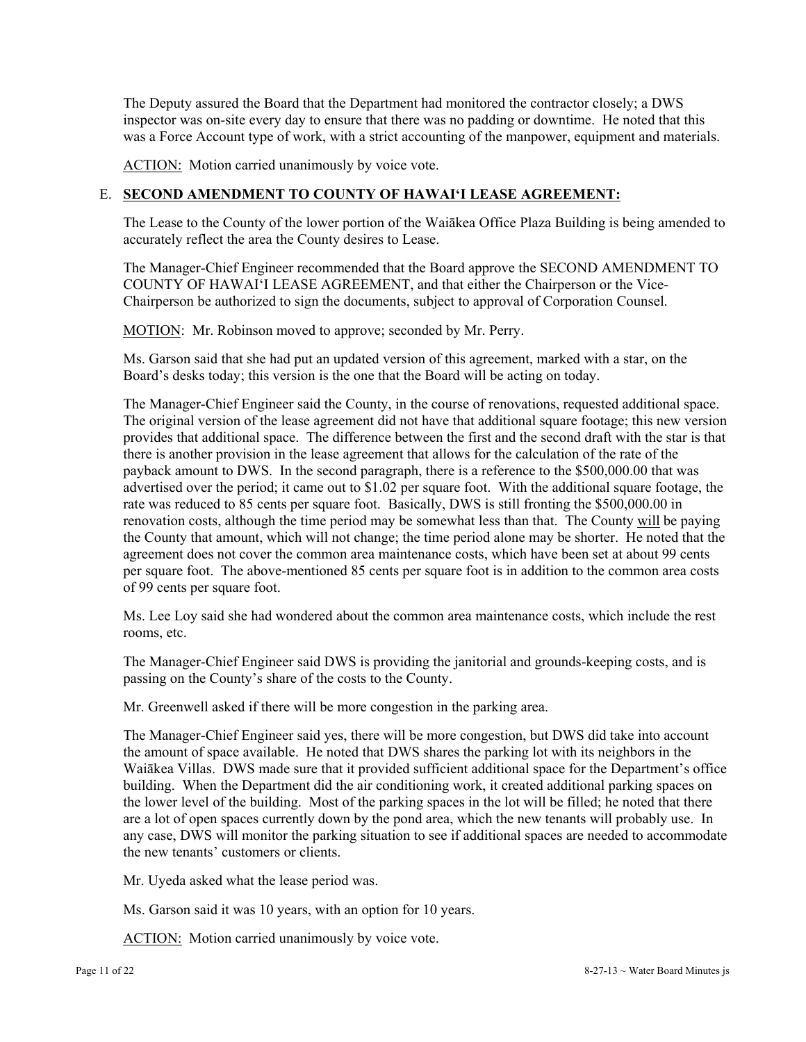The Deputy assured the Board that the Department had monitored the contractor closely; a DWS inspector was on-site every day to ensure that there was no padding or downtime. He noted that this was a Force Account type of work, with a strict accounting of the manpower, equipment and materials.

ACTION: Motion carried unanimously by voice vote.

## E. **SECOND AMENDMENT TO COUNTY OF HAWAI'I LEASE AGREEMENT:**

The Lease to the County of the lower portion of the Waiākea Office Plaza Building is being amended to accurately reflect the area the County desires to Lease.

The Manager-Chief Engineer recommended that the Board approve the SECOND AMENDMENT TO COUNTY OF HAWAI'I LEASE AGREEMENT, and that either the Chairperson or the Vice-Chairperson be authorized to sign the documents, subject to approval of Corporation Counsel.

MOTION: Mr. Robinson moved to approve; seconded by Mr. Perry.

Ms. Garson said that she had put an updated version of this agreement, marked with a star, on the Board's desks today; this version is the one that the Board will be acting on today.

The Manager-Chief Engineer said the County, in the course of renovations, requested additional space. The original version of the lease agreement did not have that additional square footage; this new version provides that additional space. The difference between the first and the second draft with the star is that there is another provision in the lease agreement that allows for the calculation of the rate of the payback amount to DWS. In the second paragraph, there is a reference to the \$500,000.00 that was advertised over the period; it came out to \$1.02 per square foot. With the additional square footage, the rate was reduced to 85 cents per square foot. Basically, DWS is still fronting the \$500,000.00 in renovation costs, although the time period may be somewhat less than that. The County will be paying the County that amount, which will not change; the time period alone may be shorter. He noted that the agreement does not cover the common area maintenance costs, which have been set at about 99 cents per square foot. The above-mentioned 85 cents per square foot is in addition to the common area costs of 99 cents per square foot.

Ms. Lee Loy said she had wondered about the common area maintenance costs, which include the rest rooms, etc.

The Manager-Chief Engineer said DWS is providing the janitorial and grounds-keeping costs, and is passing on the County's share of the costs to the County.

Mr. Greenwell asked if there will be more congestion in the parking area.

The Manager-Chief Engineer said yes, there will be more congestion, but DWS did take into account the amount of space available. He noted that DWS shares the parking lot with its neighbors in the Waiākea Villas. DWS made sure that it provided sufficient additional space for the Department's office building. When the Department did the air conditioning work, it created additional parking spaces on the lower level of the building. Most of the parking spaces in the lot will be filled; he noted that there are a lot of open spaces currently down by the pond area, which the new tenants will probably use. In any case, DWS will monitor the parking situation to see if additional spaces are needed to accommodate the new tenants' customers or clients.

Mr. Uyeda asked what the lease period was.

Ms. Garson said it was 10 years, with an option for 10 years.

ACTION: Motion carried unanimously by voice vote.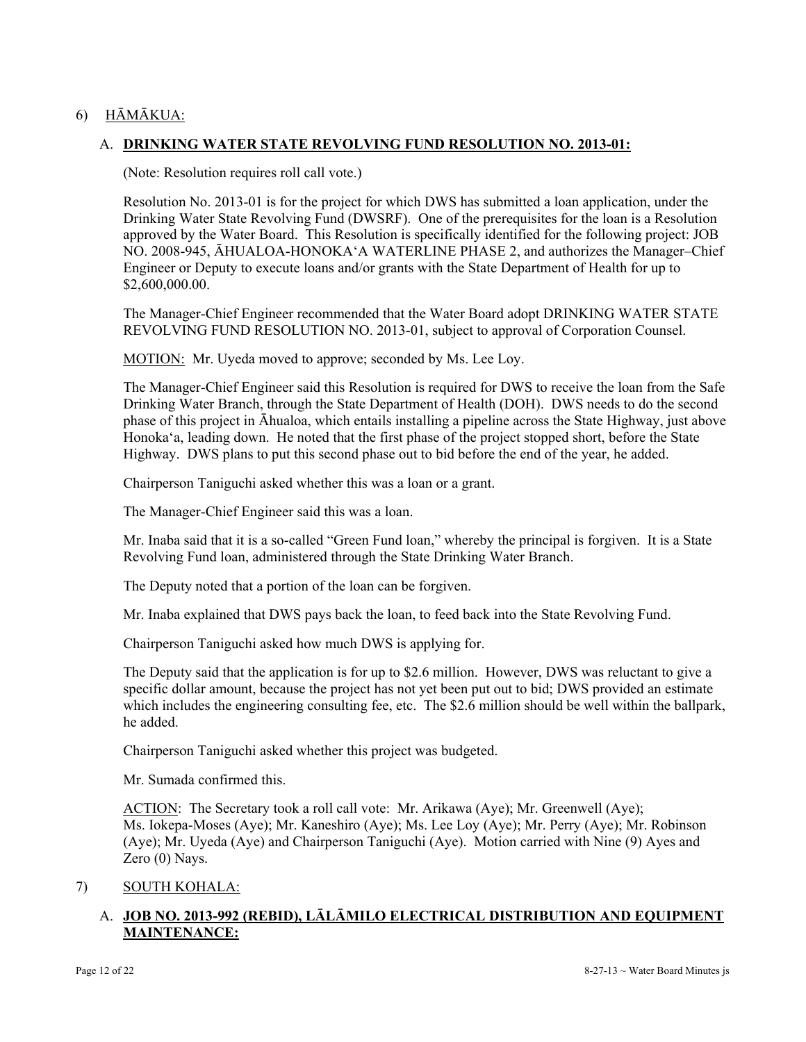# 6) HĀMĀKUA:

### A. **DRINKING WATER STATE REVOLVING FUND RESOLUTION NO. 2013-01:**

(Note: Resolution requires roll call vote.)

Resolution No. 2013-01 is for the project for which DWS has submitted a loan application, under the Drinking Water State Revolving Fund (DWSRF). One of the prerequisites for the loan is a Resolution approved by the Water Board. This Resolution is specifically identified for the following project: JOB NO. 2008-945, ĀHUALOA-HONOKA'A WATERLINE PHASE 2, and authorizes the Manager–Chief Engineer or Deputy to execute loans and/or grants with the State Department of Health for up to \$2,600,000.00.

The Manager-Chief Engineer recommended that the Water Board adopt DRINKING WATER STATE REVOLVING FUND RESOLUTION NO. 2013-01, subject to approval of Corporation Counsel.

MOTION: Mr. Uyeda moved to approve; seconded by Ms. Lee Loy.

The Manager-Chief Engineer said this Resolution is required for DWS to receive the loan from the Safe Drinking Water Branch, through the State Department of Health (DOH). DWS needs to do the second phase of this project in Āhualoa, which entails installing a pipeline across the State Highway, just above Honoka'a, leading down. He noted that the first phase of the project stopped short, before the State Highway. DWS plans to put this second phase out to bid before the end of the year, he added.

Chairperson Taniguchi asked whether this was a loan or a grant.

The Manager-Chief Engineer said this was a loan.

Mr. Inaba said that it is a so-called "Green Fund loan," whereby the principal is forgiven. It is a State Revolving Fund loan, administered through the State Drinking Water Branch.

The Deputy noted that a portion of the loan can be forgiven.

Mr. Inaba explained that DWS pays back the loan, to feed back into the State Revolving Fund.

Chairperson Taniguchi asked how much DWS is applying for.

The Deputy said that the application is for up to \$2.6 million. However, DWS was reluctant to give a specific dollar amount, because the project has not yet been put out to bid; DWS provided an estimate which includes the engineering consulting fee, etc. The \$2.6 million should be well within the ballpark, he added.

Chairperson Taniguchi asked whether this project was budgeted.

Mr. Sumada confirmed this.

ACTION: The Secretary took a roll call vote: Mr. Arikawa (Aye); Mr. Greenwell (Aye); Ms. Iokepa-Moses (Aye); Mr. Kaneshiro (Aye); Ms. Lee Loy (Aye); Mr. Perry (Aye); Mr. Robinson (Aye); Mr. Uyeda (Aye) and Chairperson Taniguchi (Aye). Motion carried with Nine (9) Ayes and Zero (0) Nays.

### 7) SOUTH KOHALA:

# A. **JOB NO. 2013-992 (REBID), LĀLĀMILO ELECTRICAL DISTRIBUTION AND EQUIPMENT MAINTENANCE:**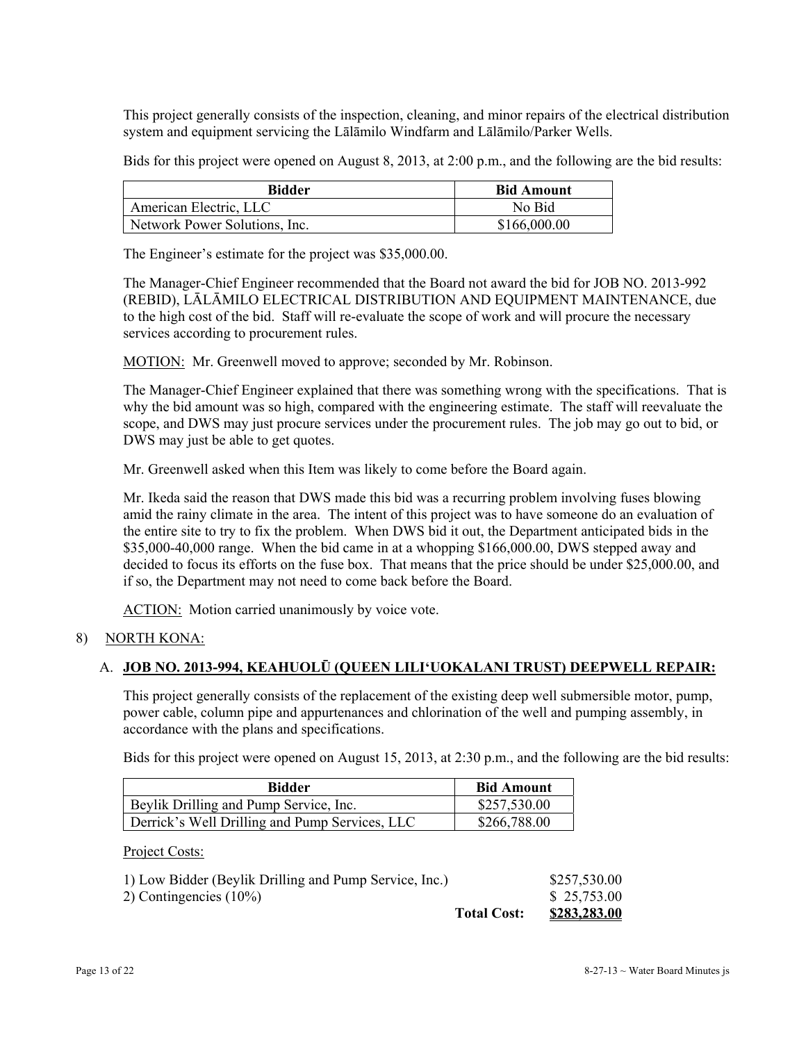This project generally consists of the inspection, cleaning, and minor repairs of the electrical distribution system and equipment servicing the Lālāmilo Windfarm and Lālāmilo/Parker Wells.

Bids for this project were opened on August 8, 2013, at 2:00 p.m., and the following are the bid results:

| <b>Bidder</b>                 | <b>Bid Amount</b> |
|-------------------------------|-------------------|
| American Electric, LLC        | No Bid            |
| Network Power Solutions, Inc. | \$166,000.00      |

The Engineer's estimate for the project was \$35,000.00.

The Manager-Chief Engineer recommended that the Board not award the bid for JOB NO. 2013-992 (REBID), LĀLĀMILO ELECTRICAL DISTRIBUTION AND EQUIPMENT MAINTENANCE, due to the high cost of the bid. Staff will re-evaluate the scope of work and will procure the necessary services according to procurement rules.

MOTION: Mr. Greenwell moved to approve; seconded by Mr. Robinson.

The Manager-Chief Engineer explained that there was something wrong with the specifications. That is why the bid amount was so high, compared with the engineering estimate. The staff will reevaluate the scope, and DWS may just procure services under the procurement rules. The job may go out to bid, or DWS may just be able to get quotes.

Mr. Greenwell asked when this Item was likely to come before the Board again.

Mr. Ikeda said the reason that DWS made this bid was a recurring problem involving fuses blowing amid the rainy climate in the area. The intent of this project was to have someone do an evaluation of the entire site to try to fix the problem. When DWS bid it out, the Department anticipated bids in the \$35,000-40,000 range. When the bid came in at a whopping \$166,000.00, DWS stepped away and decided to focus its efforts on the fuse box. That means that the price should be under \$25,000.00, and if so, the Department may not need to come back before the Board.

ACTION: Motion carried unanimously by voice vote.

### 8) NORTH KONA:

### A. **JOB NO. 2013-994, KEAHUOLŪ (QUEEN LILI'UOKALANI TRUST) DEEPWELL REPAIR:**

This project generally consists of the replacement of the existing deep well submersible motor, pump, power cable, column pipe and appurtenances and chlorination of the well and pumping assembly, in accordance with the plans and specifications.

Bids for this project were opened on August 15, 2013, at 2:30 p.m., and the following are the bid results:

| Bidder                                         | <b>Bid Amount</b> |
|------------------------------------------------|-------------------|
| Beylik Drilling and Pump Service, Inc.         | \$257,530.00      |
| Derrick's Well Drilling and Pump Services, LLC | \$266,788.00      |

Project Costs:

| 1) Low Bidder (Beylik Drilling and Pump Service, Inc.) |                    | \$257,530.00 |
|--------------------------------------------------------|--------------------|--------------|
| 2) Contingencies $(10\%)$                              |                    | \$25,753.00  |
|                                                        | <b>Total Cost:</b> | \$283,283.00 |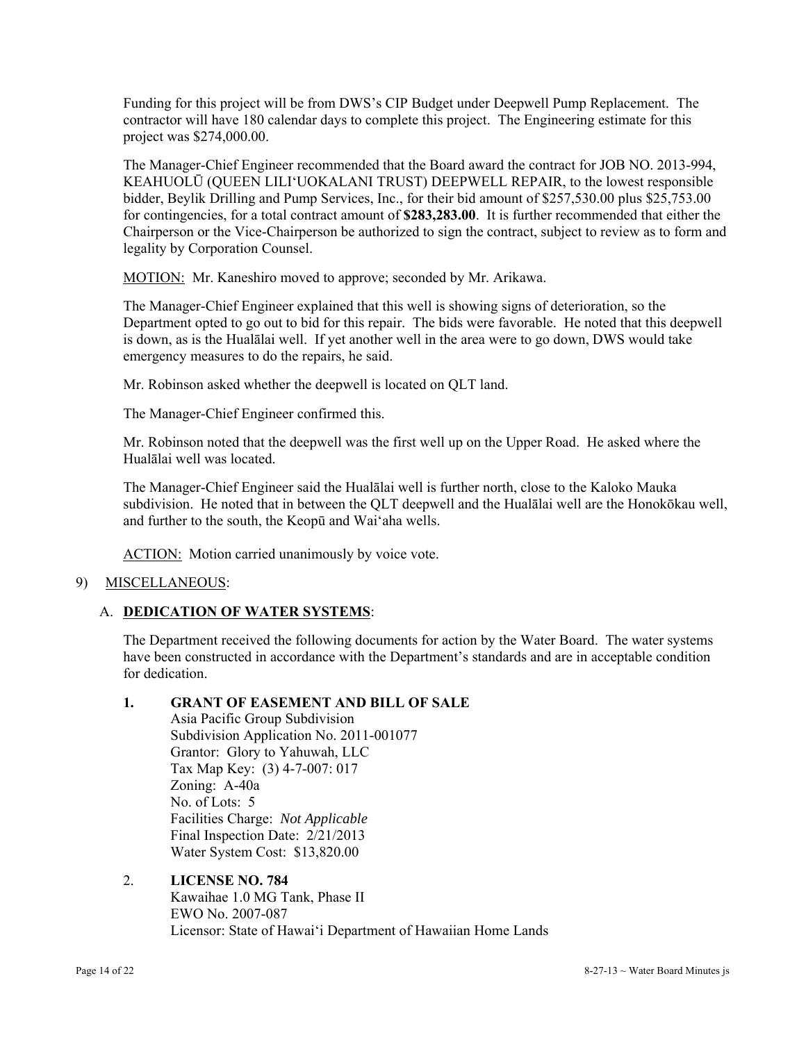Funding for this project will be from DWS's CIP Budget under Deepwell Pump Replacement. The contractor will have 180 calendar days to complete this project. The Engineering estimate for this project was \$274,000.00.

The Manager-Chief Engineer recommended that the Board award the contract for JOB NO. 2013-994, KEAHUOLŪ (QUEEN LILI'UOKALANI TRUST) DEEPWELL REPAIR, to the lowest responsible bidder, Beylik Drilling and Pump Services, Inc., for their bid amount of \$257,530.00 plus \$25,753.00 for contingencies, for a total contract amount of **\$283,283.00**. It is further recommended that either the Chairperson or the Vice-Chairperson be authorized to sign the contract, subject to review as to form and legality by Corporation Counsel.

MOTION: Mr. Kaneshiro moved to approve; seconded by Mr. Arikawa.

The Manager-Chief Engineer explained that this well is showing signs of deterioration, so the Department opted to go out to bid for this repair. The bids were favorable. He noted that this deepwell is down, as is the Hualālai well. If yet another well in the area were to go down, DWS would take emergency measures to do the repairs, he said.

Mr. Robinson asked whether the deepwell is located on QLT land.

The Manager-Chief Engineer confirmed this.

Mr. Robinson noted that the deepwell was the first well up on the Upper Road. He asked where the Hualālai well was located.

The Manager-Chief Engineer said the Hualālai well is further north, close to the Kaloko Mauka subdivision. He noted that in between the QLT deepwell and the Hualālai well are the Honokōkau well, and further to the south, the Keopū and Wai'aha wells.

ACTION: Motion carried unanimously by voice vote.

# 9) MISCELLANEOUS:

# A. **DEDICATION OF WATER SYSTEMS**:

The Department received the following documents for action by the Water Board. The water systems have been constructed in accordance with the Department's standards and are in acceptable condition for dedication.

# **1. GRANT OF EASEMENT AND BILL OF SALE**

Asia Pacific Group Subdivision Subdivision Application No. 2011-001077 Grantor: Glory to Yahuwah, LLC Tax Map Key: (3) 4-7-007: 017 Zoning: A-40a No. of Lots: 5 Facilities Charge: *Not Applicable*  Final Inspection Date: 2/21/2013 Water System Cost: \$13,820.00

2. **LICENSE NO. 784**  Kawaihae 1.0 MG Tank, Phase II EWO No. 2007-087 Licensor: State of Hawai'i Department of Hawaiian Home Lands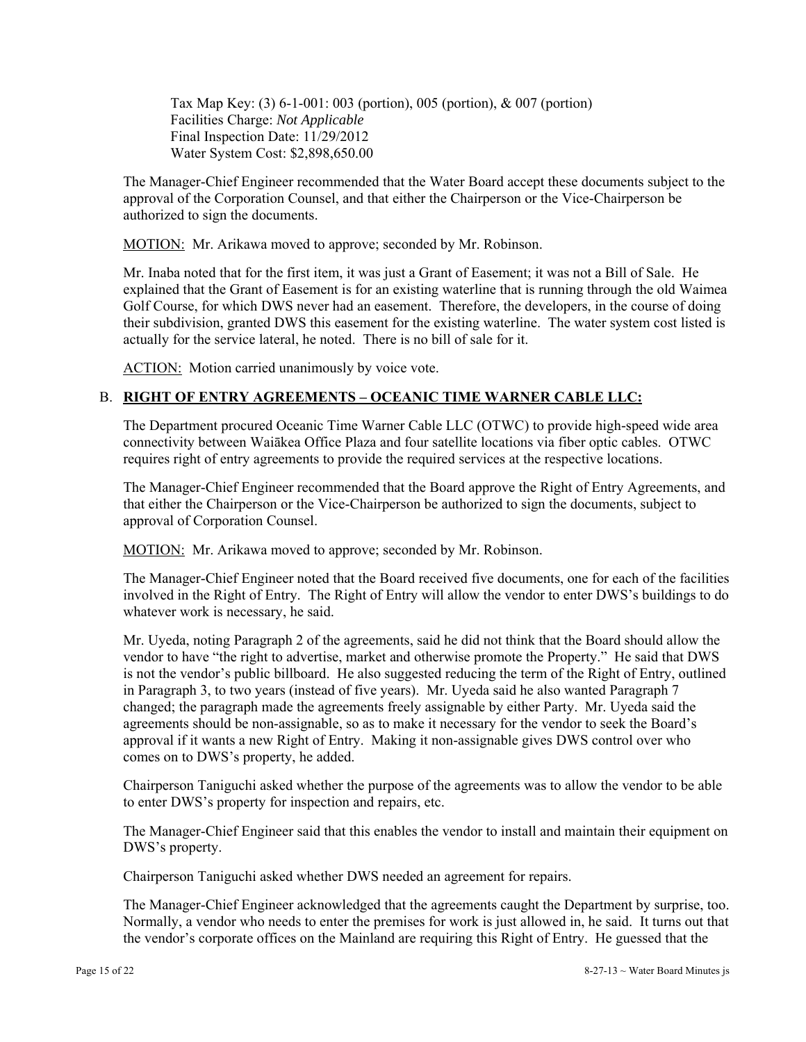Tax Map Key: (3) 6-1-001: 003 (portion), 005 (portion), & 007 (portion) Facilities Charge: *Not Applicable*  Final Inspection Date: 11/29/2012 Water System Cost: \$2,898,650.00

The Manager-Chief Engineer recommended that the Water Board accept these documents subject to the approval of the Corporation Counsel, and that either the Chairperson or the Vice-Chairperson be authorized to sign the documents.

MOTION: Mr. Arikawa moved to approve; seconded by Mr. Robinson.

Mr. Inaba noted that for the first item, it was just a Grant of Easement; it was not a Bill of Sale. He explained that the Grant of Easement is for an existing waterline that is running through the old Waimea Golf Course, for which DWS never had an easement. Therefore, the developers, in the course of doing their subdivision, granted DWS this easement for the existing waterline. The water system cost listed is actually for the service lateral, he noted. There is no bill of sale for it.

ACTION: Motion carried unanimously by voice vote.

# B. **RIGHT OF ENTRY AGREEMENTS – OCEANIC TIME WARNER CABLE LLC:**

The Department procured Oceanic Time Warner Cable LLC (OTWC) to provide high-speed wide area connectivity between Waiākea Office Plaza and four satellite locations via fiber optic cables. OTWC requires right of entry agreements to provide the required services at the respective locations.

The Manager-Chief Engineer recommended that the Board approve the Right of Entry Agreements, and that either the Chairperson or the Vice-Chairperson be authorized to sign the documents, subject to approval of Corporation Counsel.

MOTION: Mr. Arikawa moved to approve; seconded by Mr. Robinson.

The Manager-Chief Engineer noted that the Board received five documents, one for each of the facilities involved in the Right of Entry. The Right of Entry will allow the vendor to enter DWS's buildings to do whatever work is necessary, he said.

Mr. Uyeda, noting Paragraph 2 of the agreements, said he did not think that the Board should allow the vendor to have "the right to advertise, market and otherwise promote the Property." He said that DWS is not the vendor's public billboard. He also suggested reducing the term of the Right of Entry, outlined in Paragraph 3, to two years (instead of five years). Mr. Uyeda said he also wanted Paragraph 7 changed; the paragraph made the agreements freely assignable by either Party. Mr. Uyeda said the agreements should be non-assignable, so as to make it necessary for the vendor to seek the Board's approval if it wants a new Right of Entry. Making it non-assignable gives DWS control over who comes on to DWS's property, he added.

Chairperson Taniguchi asked whether the purpose of the agreements was to allow the vendor to be able to enter DWS's property for inspection and repairs, etc.

The Manager-Chief Engineer said that this enables the vendor to install and maintain their equipment on DWS's property.

Chairperson Taniguchi asked whether DWS needed an agreement for repairs.

 the vendor's corporate offices on the Mainland are requiring this Right of Entry. He guessed that the The Manager-Chief Engineer acknowledged that the agreements caught the Department by surprise, too. Normally, a vendor who needs to enter the premises for work is just allowed in, he said. It turns out that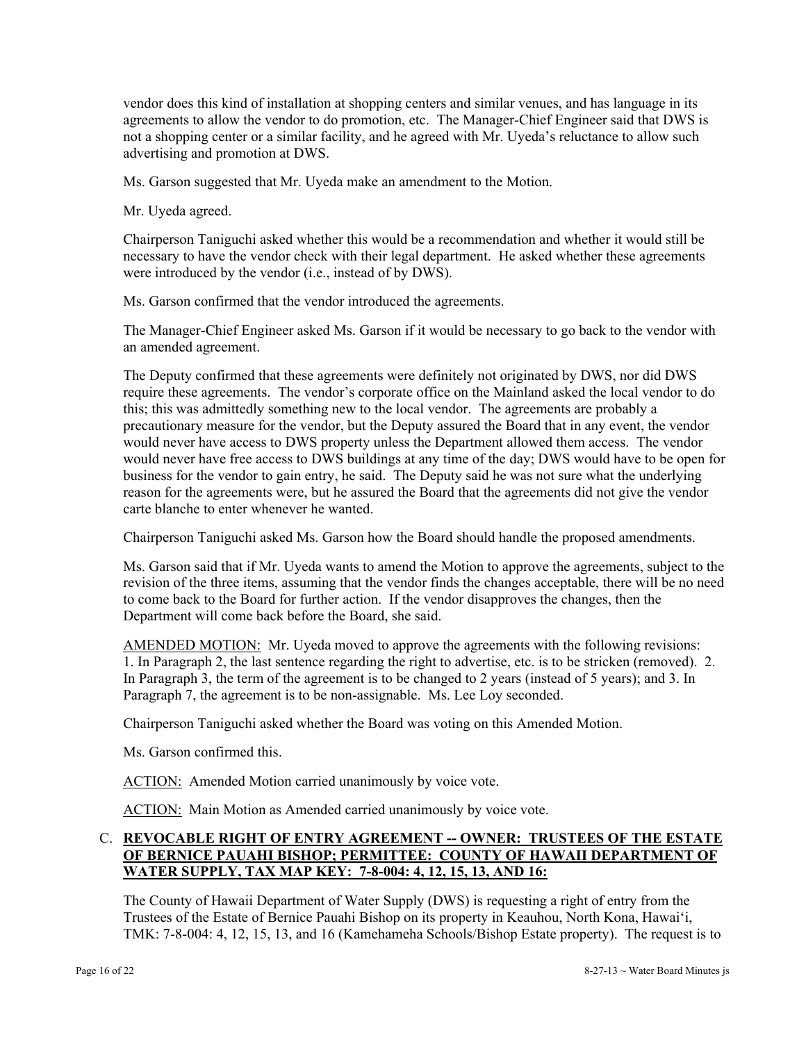vendor does this kind of installation at shopping centers and similar venues, and has language in its agreements to allow the vendor to do promotion, etc. The Manager-Chief Engineer said that DWS is not a shopping center or a similar facility, and he agreed with Mr. Uyeda's reluctance to allow such advertising and promotion at DWS.

Ms. Garson suggested that Mr. Uyeda make an amendment to the Motion.

Mr. Uyeda agreed.

Chairperson Taniguchi asked whether this would be a recommendation and whether it would still be necessary to have the vendor check with their legal department. He asked whether these agreements were introduced by the vendor (i.e., instead of by DWS).

Ms. Garson confirmed that the vendor introduced the agreements.

The Manager-Chief Engineer asked Ms. Garson if it would be necessary to go back to the vendor with an amended agreement.

 business for the vendor to gain entry, he said. The Deputy said he was not sure what the underlying The Deputy confirmed that these agreements were definitely not originated by DWS, nor did DWS require these agreements. The vendor's corporate office on the Mainland asked the local vendor to do this; this was admittedly something new to the local vendor. The agreements are probably a precautionary measure for the vendor, but the Deputy assured the Board that in any event, the vendor would never have access to DWS property unless the Department allowed them access. The vendor would never have free access to DWS buildings at any time of the day; DWS would have to be open for reason for the agreements were, but he assured the Board that the agreements did not give the vendor carte blanche to enter whenever he wanted.

Chairperson Taniguchi asked Ms. Garson how the Board should handle the proposed amendments.

Ms. Garson said that if Mr. Uyeda wants to amend the Motion to approve the agreements, subject to the revision of the three items, assuming that the vendor finds the changes acceptable, there will be no need to come back to the Board for further action. If the vendor disapproves the changes, then the Department will come back before the Board, she said.

AMENDED MOTION: Mr. Uyeda moved to approve the agreements with the following revisions: 1. In Paragraph 2, the last sentence regarding the right to advertise, etc. is to be stricken (removed). 2. In Paragraph 3, the term of the agreement is to be changed to 2 years (instead of 5 years); and 3. In Paragraph 7, the agreement is to be non-assignable. Ms. Lee Loy seconded.

Chairperson Taniguchi asked whether the Board was voting on this Amended Motion.

Ms. Garson confirmed this.

ACTION: Amended Motion carried unanimously by voice vote.

ACTION: Main Motion as Amended carried unanimously by voice vote.

## C. **REVOCABLE RIGHT OF ENTRY AGREEMENT -- OWNER: TRUSTEES OF THE ESTATE OF BERNICE PAUAHI BISHOP; PERMITTEE: COUNTY OF HAWAII DEPARTMENT OF WATER SUPPLY, TAX MAP KEY: 7-8-004: 4, 12, 15, 13, AND 16:**

The County of Hawaii Department of Water Supply (DWS) is requesting a right of entry from the Trustees of the Estate of Bernice Pauahi Bishop on its property in Keauhou, North Kona, Hawai'i, TMK: 7-8-004: 4, 12, 15, 13, and 16 (Kamehameha Schools/Bishop Estate property). The request is to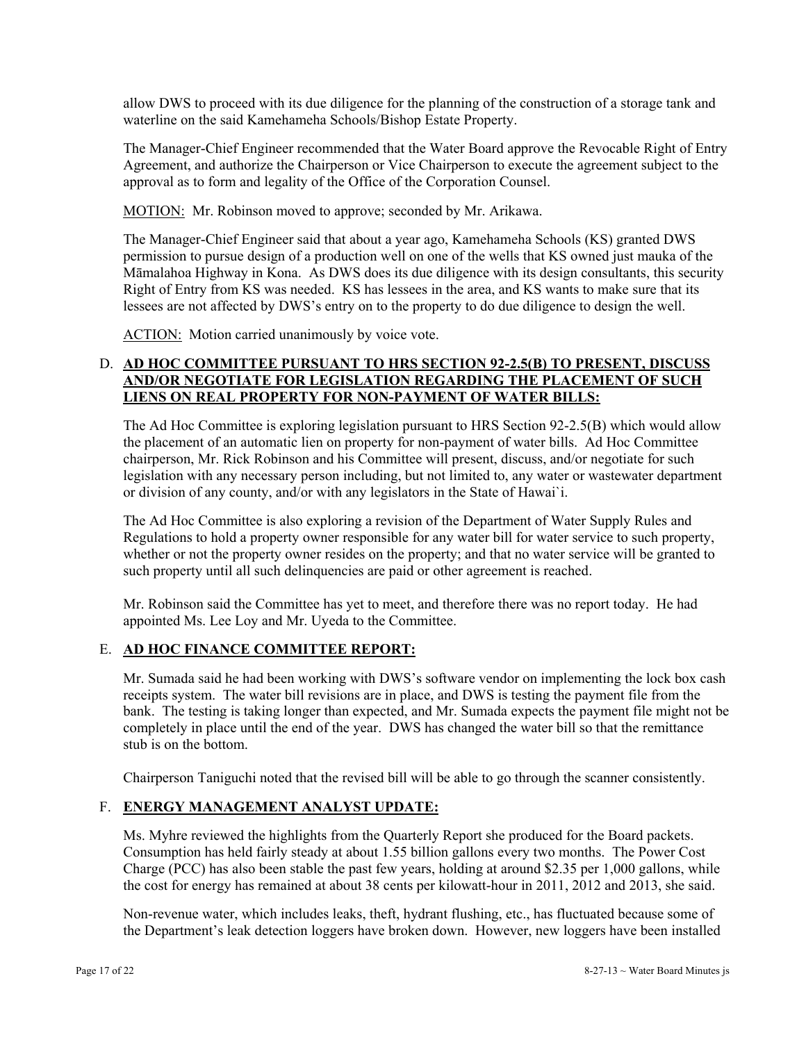allow DWS to proceed with its due diligence for the planning of the construction of a storage tank and waterline on the said Kamehameha Schools/Bishop Estate Property.

The Manager-Chief Engineer recommended that the Water Board approve the Revocable Right of Entry Agreement, and authorize the Chairperson or Vice Chairperson to execute the agreement subject to the approval as to form and legality of the Office of the Corporation Counsel.

MOTION: Mr. Robinson moved to approve; seconded by Mr. Arikawa.

The Manager-Chief Engineer said that about a year ago, Kamehameha Schools (KS) granted DWS permission to pursue design of a production well on one of the wells that KS owned just mauka of the Māmalahoa Highway in Kona. As DWS does its due diligence with its design consultants, this security Right of Entry from KS was needed. KS has lessees in the area, and KS wants to make sure that its lessees are not affected by DWS's entry on to the property to do due diligence to design the well.

ACTION: Motion carried unanimously by voice vote.

## D. **AD HOC COMMITTEE PURSUANT TO HRS SECTION 92-2.5(B) TO PRESENT, DISCUSS AND/OR NEGOTIATE FOR LEGISLATION REGARDING THE PLACEMENT OF SUCH LIENS ON REAL PROPERTY FOR NON-PAYMENT OF WATER BILLS:**

The Ad Hoc Committee is exploring legislation pursuant to HRS Section 92-2.5(B) which would allow the placement of an automatic lien on property for non-payment of water bills. Ad Hoc Committee chairperson, Mr. Rick Robinson and his Committee will present, discuss, and/or negotiate for such legislation with any necessary person including, but not limited to, any water or wastewater department or division of any county, and/or with any legislators in the State of Hawai`i.

The Ad Hoc Committee is also exploring a revision of the Department of Water Supply Rules and Regulations to hold a property owner responsible for any water bill for water service to such property, whether or not the property owner resides on the property; and that no water service will be granted to such property until all such delinquencies are paid or other agreement is reached.

Mr. Robinson said the Committee has yet to meet, and therefore there was no report today. He had appointed Ms. Lee Loy and Mr. Uyeda to the Committee.

### E. **AD HOC FINANCE COMMITTEE REPORT:**

Mr. Sumada said he had been working with DWS's software vendor on implementing the lock box cash receipts system. The water bill revisions are in place, and DWS is testing the payment file from the bank. The testing is taking longer than expected, and Mr. Sumada expects the payment file might not be completely in place until the end of the year. DWS has changed the water bill so that the remittance stub is on the bottom.

Chairperson Taniguchi noted that the revised bill will be able to go through the scanner consistently.

# F. **ENERGY MANAGEMENT ANALYST UPDATE:**

Ms. Myhre reviewed the highlights from the Quarterly Report she produced for the Board packets. Consumption has held fairly steady at about 1.55 billion gallons every two months. The Power Cost Charge (PCC) has also been stable the past few years, holding at around \$2.35 per 1,000 gallons, while the cost for energy has remained at about 38 cents per kilowatt-hour in 2011, 2012 and 2013, she said.

Non-revenue water, which includes leaks, theft, hydrant flushing, etc., has fluctuated because some of the Department's leak detection loggers have broken down. However, new loggers have been installed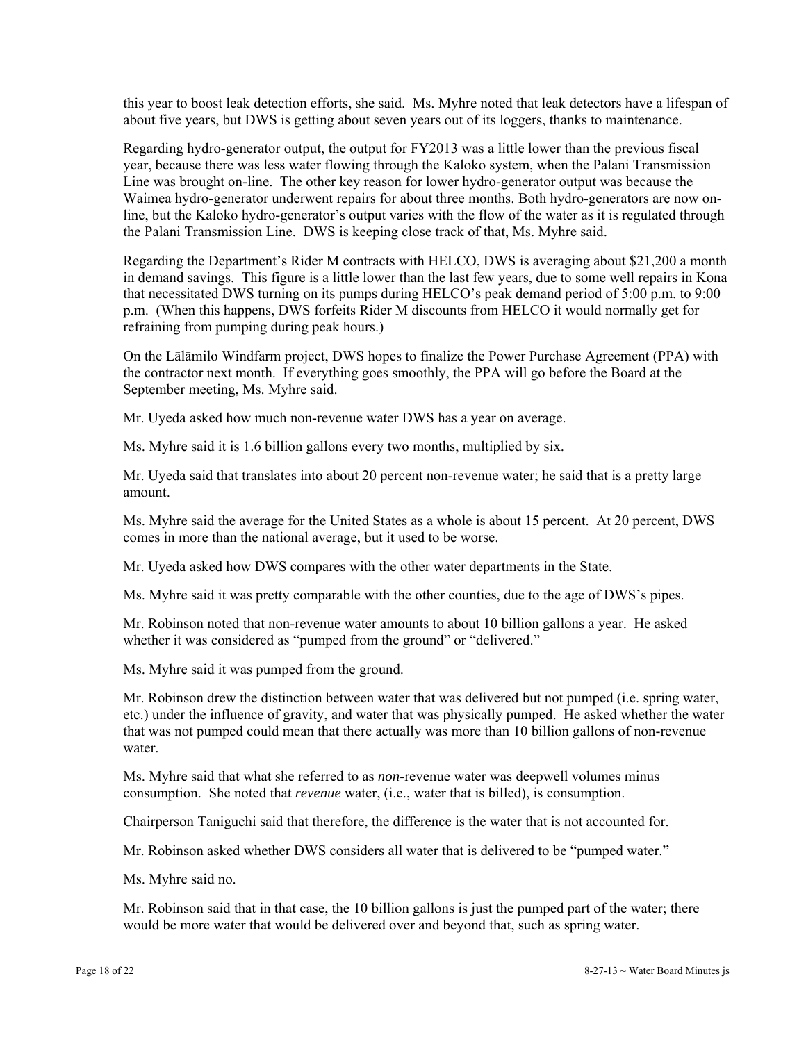this year to boost leak detection efforts, she said. Ms. Myhre noted that leak detectors have a lifespan of about five years, but DWS is getting about seven years out of its loggers, thanks to maintenance.

Regarding hydro-generator output, the output for FY2013 was a little lower than the previous fiscal year, because there was less water flowing through the Kaloko system, when the Palani Transmission Line was brought on-line. The other key reason for lower hydro-generator output was because the Waimea hydro-generator underwent repairs for about three months. Both hydro-generators are now online, but the Kaloko hydro-generator's output varies with the flow of the water as it is regulated through the Palani Transmission Line. DWS is keeping close track of that, Ms. Myhre said.

Regarding the Department's Rider M contracts with HELCO, DWS is averaging about \$21,200 a month in demand savings. This figure is a little lower than the last few years, due to some well repairs in Kona that necessitated DWS turning on its pumps during HELCO's peak demand period of 5:00 p.m. to 9:00 p.m. (When this happens, DWS forfeits Rider M discounts from HELCO it would normally get for refraining from pumping during peak hours.)

On the Lālāmilo Windfarm project, DWS hopes to finalize the Power Purchase Agreement (PPA) with the contractor next month. If everything goes smoothly, the PPA will go before the Board at the September meeting, Ms. Myhre said.

Mr. Uyeda asked how much non-revenue water DWS has a year on average.

Ms. Myhre said it is 1.6 billion gallons every two months, multiplied by six.

Mr. Uyeda said that translates into about 20 percent non-revenue water; he said that is a pretty large amount.

Ms. Myhre said the average for the United States as a whole is about 15 percent. At 20 percent, DWS comes in more than the national average, but it used to be worse.

Mr. Uyeda asked how DWS compares with the other water departments in the State.

Ms. Myhre said it was pretty comparable with the other counties, due to the age of DWS's pipes.

Mr. Robinson noted that non-revenue water amounts to about 10 billion gallons a year. He asked whether it was considered as "pumped from the ground" or "delivered."

Ms. Myhre said it was pumped from the ground.

Mr. Robinson drew the distinction between water that was delivered but not pumped (i.e. spring water, etc.) under the influence of gravity, and water that was physically pumped. He asked whether the water that was not pumped could mean that there actually was more than 10 billion gallons of non-revenue water.

Ms. Myhre said that what she referred to as *non*-revenue water was deepwell volumes minus consumption. She noted that *revenue* water, (i.e., water that is billed), is consumption.

Chairperson Taniguchi said that therefore, the difference is the water that is not accounted for.

Mr. Robinson asked whether DWS considers all water that is delivered to be "pumped water."

Ms. Myhre said no.

Mr. Robinson said that in that case, the 10 billion gallons is just the pumped part of the water; there would be more water that would be delivered over and beyond that, such as spring water.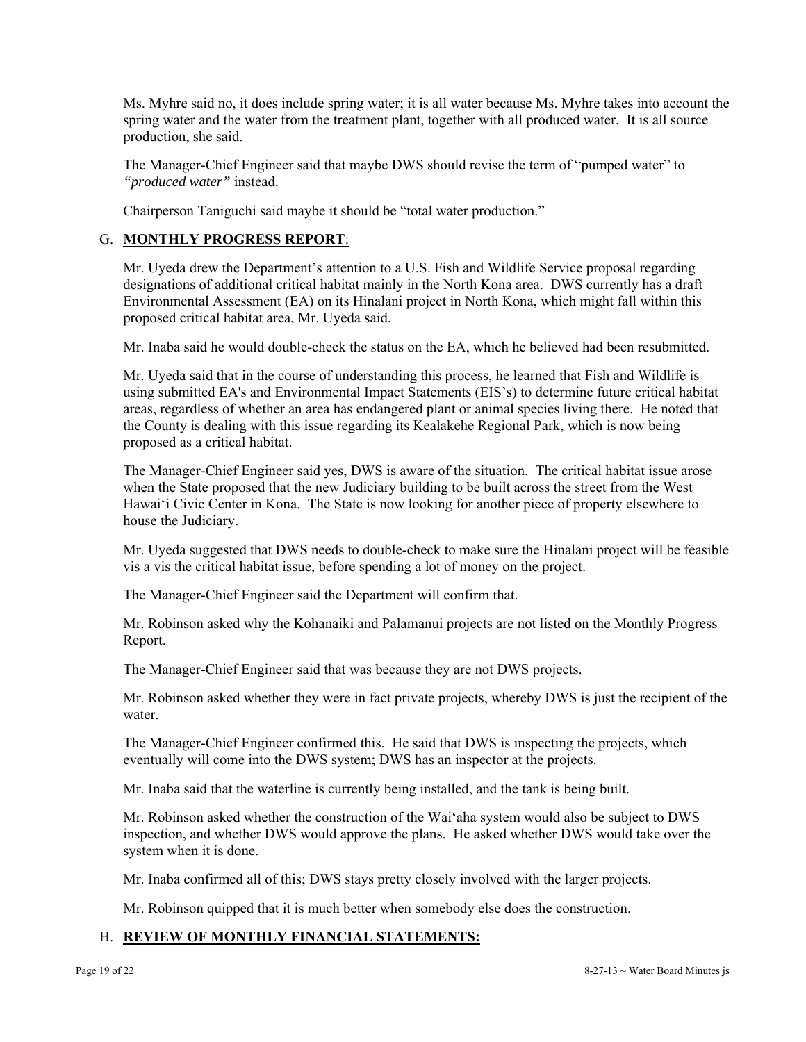Ms. Myhre said no, it does include spring water; it is all water because Ms. Myhre takes into account the spring water and the water from the treatment plant, together with all produced water. It is all source production, she said.

The Manager-Chief Engineer said that maybe DWS should revise the term of "pumped water" to *"produced water"* instead.

Chairperson Taniguchi said maybe it should be "total water production."

### G. **MONTHLY PROGRESS REPORT**:

Mr. Uyeda drew the Department's attention to a U.S. Fish and Wildlife Service proposal regarding designations of additional critical habitat mainly in the North Kona area. DWS currently has a draft Environmental Assessment (EA) on its Hinalani project in North Kona, which might fall within this proposed critical habitat area, Mr. Uyeda said.

Mr. Inaba said he would double-check the status on the EA, which he believed had been resubmitted.

Mr. Uyeda said that in the course of understanding this process, he learned that Fish and Wildlife is using submitted EA's and Environmental Impact Statements (EIS's) to determine future critical habitat areas, regardless of whether an area has endangered plant or animal species living there. He noted that the County is dealing with this issue regarding its Kealakehe Regional Park, which is now being proposed as a critical habitat.

The Manager-Chief Engineer said yes, DWS is aware of the situation. The critical habitat issue arose when the State proposed that the new Judiciary building to be built across the street from the West Hawai'i Civic Center in Kona. The State is now looking for another piece of property elsewhere to house the Judiciary.

Mr. Uyeda suggested that DWS needs to double-check to make sure the Hinalani project will be feasible vis a vis the critical habitat issue, before spending a lot of money on the project.

The Manager-Chief Engineer said the Department will confirm that.

Mr. Robinson asked why the Kohanaiki and Palamanui projects are not listed on the Monthly Progress Report.

The Manager-Chief Engineer said that was because they are not DWS projects.

Mr. Robinson asked whether they were in fact private projects, whereby DWS is just the recipient of the water.

The Manager-Chief Engineer confirmed this. He said that DWS is inspecting the projects, which eventually will come into the DWS system; DWS has an inspector at the projects.

Mr. Inaba said that the waterline is currently being installed, and the tank is being built.

Mr. Robinson asked whether the construction of the Wai'aha system would also be subject to DWS inspection, and whether DWS would approve the plans. He asked whether DWS would take over the system when it is done.

Mr. Inaba confirmed all of this; DWS stays pretty closely involved with the larger projects.

Mr. Robinson quipped that it is much better when somebody else does the construction.

# H. **REVIEW OF MONTHLY FINANCIAL STATEMENTS:**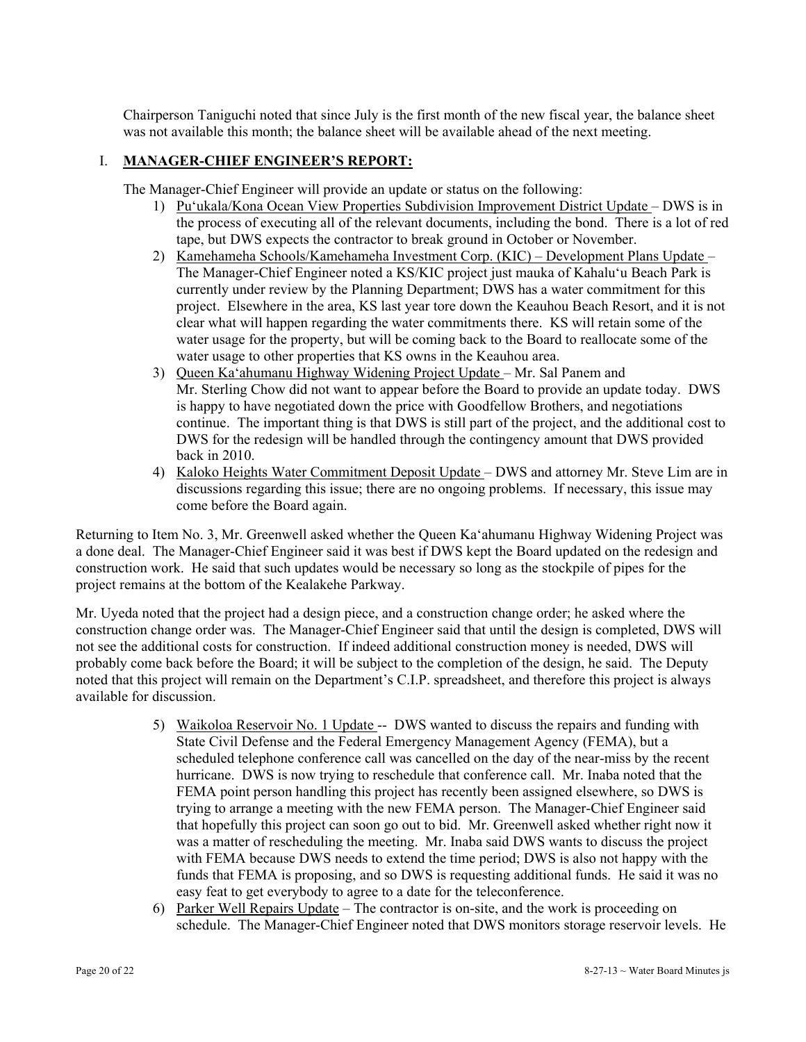Chairperson Taniguchi noted that since July is the first month of the new fiscal year, the balance sheet was not available this month; the balance sheet will be available ahead of the next meeting.

## I. **MANAGER-CHIEF ENGINEER'S REPORT:**

The Manager-Chief Engineer will provide an update or status on the following:

- 1) Pu'ukala/Kona Ocean View Properties Subdivision Improvement District Update DWS is in the process of executing all of the relevant documents, including the bond. There is a lot of red tape, but DWS expects the contractor to break ground in October or November.
- 2) Kamehameha Schools/Kamehameha Investment Corp. (KIC) Development Plans Update The Manager-Chief Engineer noted a KS/KIC project just mauka of Kahalu'u Beach Park is currently under review by the Planning Department; DWS has a water commitment for this project. Elsewhere in the area, KS last year tore down the Keauhou Beach Resort, and it is not clear what will happen regarding the water commitments there. KS will retain some of the water usage for the property, but will be coming back to the Board to reallocate some of the water usage to other properties that KS owns in the Keauhou area.
- 3) Queen Ka'ahumanu Highway Widening Project Update Mr. Sal Panem and Mr. Sterling Chow did not want to appear before the Board to provide an update today. DWS is happy to have negotiated down the price with Goodfellow Brothers, and negotiations continue. The important thing is that DWS is still part of the project, and the additional cost to DWS for the redesign will be handled through the contingency amount that DWS provided back in 2010.
- 4) Kaloko Heights Water Commitment Deposit Update DWS and attorney Mr. Steve Lim are in discussions regarding this issue; there are no ongoing problems. If necessary, this issue may come before the Board again.

Returning to Item No. 3, Mr. Greenwell asked whether the Queen Ka'ahumanu Highway Widening Project was a done deal. The Manager-Chief Engineer said it was best if DWS kept the Board updated on the redesign and construction work. He said that such updates would be necessary so long as the stockpile of pipes for the project remains at the bottom of the Kealakehe Parkway.

Mr. Uyeda noted that the project had a design piece, and a construction change order; he asked where the construction change order was. The Manager-Chief Engineer said that until the design is completed, DWS will not see the additional costs for construction. If indeed additional construction money is needed, DWS will probably come back before the Board; it will be subject to the completion of the design, he said. The Deputy noted that this project will remain on the Department's C.I.P. spreadsheet, and therefore this project is always available for discussion.

- 5) Waikoloa Reservoir No. 1 Update -- DWS wanted to discuss the repairs and funding with State Civil Defense and the Federal Emergency Management Agency (FEMA), but a scheduled telephone conference call was cancelled on the day of the near-miss by the recent hurricane. DWS is now trying to reschedule that conference call. Mr. Inaba noted that the FEMA point person handling this project has recently been assigned elsewhere, so DWS is trying to arrange a meeting with the new FEMA person. The Manager-Chief Engineer said that hopefully this project can soon go out to bid. Mr. Greenwell asked whether right now it was a matter of rescheduling the meeting. Mr. Inaba said DWS wants to discuss the project with FEMA because DWS needs to extend the time period; DWS is also not happy with the funds that FEMA is proposing, and so DWS is requesting additional funds. He said it was no easy feat to get everybody to agree to a date for the teleconference.
- 6) Parker Well Repairs Update The contractor is on-site, and the work is proceeding on schedule. The Manager-Chief Engineer noted that DWS monitors storage reservoir levels. He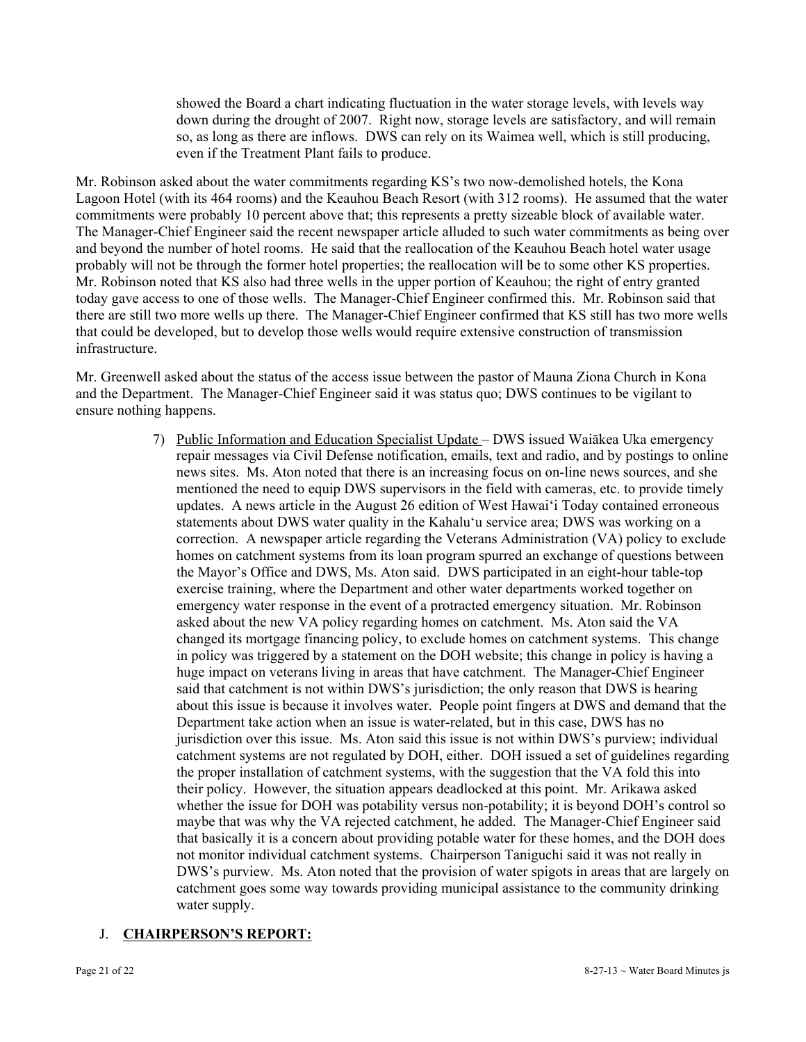showed the Board a chart indicating fluctuation in the water storage levels, with levels way down during the drought of 2007. Right now, storage levels are satisfactory, and will remain so, as long as there are inflows. DWS can rely on its Waimea well, which is still producing, even if the Treatment Plant fails to produce.

Mr. Robinson asked about the water commitments regarding KS's two now-demolished hotels, the Kona Lagoon Hotel (with its 464 rooms) and the Keauhou Beach Resort (with 312 rooms). He assumed that the water commitments were probably 10 percent above that; this represents a pretty sizeable block of available water. The Manager-Chief Engineer said the recent newspaper article alluded to such water commitments as being over and beyond the number of hotel rooms. He said that the reallocation of the Keauhou Beach hotel water usage probably will not be through the former hotel properties; the reallocation will be to some other KS properties. Mr. Robinson noted that KS also had three wells in the upper portion of Keauhou; the right of entry granted today gave access to one of those wells. The Manager-Chief Engineer confirmed this. Mr. Robinson said that there are still two more wells up there. The Manager-Chief Engineer confirmed that KS still has two more wells that could be developed, but to develop those wells would require extensive construction of transmission infrastructure.

Mr. Greenwell asked about the status of the access issue between the pastor of Mauna Ziona Church in Kona and the Department. The Manager-Chief Engineer said it was status quo; DWS continues to be vigilant to ensure nothing happens.

> their policy. However, the situation appears deadlocked at this point. Mr. Arikawa asked 7) Public Information and Education Specialist Update – DWS issued Waiākea Uka emergency repair messages via Civil Defense notification, emails, text and radio, and by postings to online news sites. Ms. Aton noted that there is an increasing focus on on-line news sources, and she mentioned the need to equip DWS supervisors in the field with cameras, etc. to provide timely updates. A news article in the August 26 edition of West Hawai'i Today contained erroneous statements about DWS water quality in the Kahalu'u service area; DWS was working on a correction. A newspaper article regarding the Veterans Administration (VA) policy to exclude homes on catchment systems from its loan program spurred an exchange of questions between the Mayor's Office and DWS, Ms. Aton said. DWS participated in an eight-hour table-top exercise training, where the Department and other water departments worked together on emergency water response in the event of a protracted emergency situation. Mr. Robinson asked about the new VA policy regarding homes on catchment. Ms. Aton said the VA changed its mortgage financing policy, to exclude homes on catchment systems. This change in policy was triggered by a statement on the DOH website; this change in policy is having a huge impact on veterans living in areas that have catchment. The Manager-Chief Engineer said that catchment is not within DWS's jurisdiction; the only reason that DWS is hearing about this issue is because it involves water. People point fingers at DWS and demand that the Department take action when an issue is water-related, but in this case, DWS has no jurisdiction over this issue. Ms. Aton said this issue is not within DWS's purview; individual catchment systems are not regulated by DOH, either. DOH issued a set of guidelines regarding the proper installation of catchment systems, with the suggestion that the VA fold this into whether the issue for DOH was potability versus non-potability; it is beyond DOH's control so maybe that was why the VA rejected catchment, he added. The Manager-Chief Engineer said that basically it is a concern about providing potable water for these homes, and the DOH does not monitor individual catchment systems. Chairperson Taniguchi said it was not really in DWS's purview. Ms. Aton noted that the provision of water spigots in areas that are largely on catchment goes some way towards providing municipal assistance to the community drinking water supply.

# J. **CHAIRPERSON'S REPORT:**